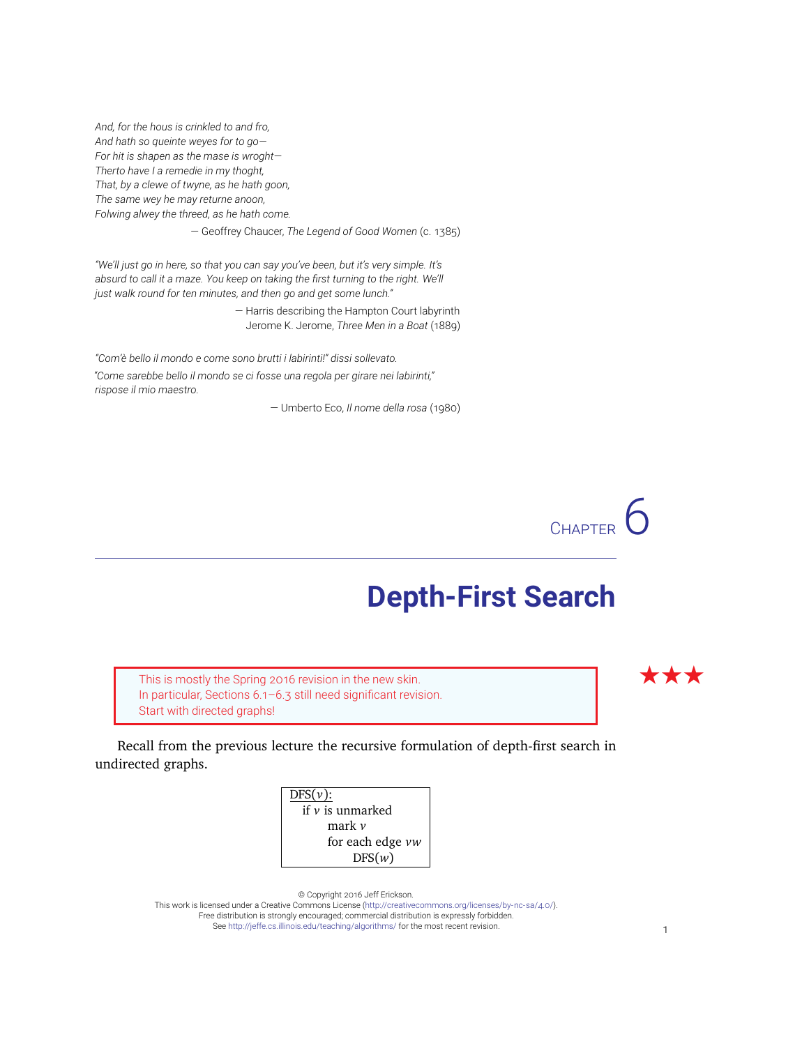*And, for the hous is crinkled to and fro, And hath so queinte weyes for to go— For hit is shapen as the mase is wroght— Therto have I a remedie in my thoght, That, by a clewe of twyne, as he hath goon, The same wey he may returne anoon, Folwing alwey the threed, as he hath come.*

— Geoffrey Chaucer, *The Legend of Good Women* (c. 1385)

*"We'll just go in here, so that you can say you've been, but it's very simple. It's absurd to call it a maze. You keep on taking the first turning to the right. We'll just walk round for ten minutes, and then go and get some lunch."*

> — Harris describing the Hampton Court labyrinth Jerome K. Jerome, *Three Men in a Boat* (1889)

*"Com'è bello il mondo e come sono brutti i labirinti!" dissi sollevato. "Come sarebbe bello il mondo se ci fosse una regola per girare nei labirinti," rispose il mio maestro.*

— Umberto Eco, *Il nome della rosa* (1980)



# **Depth-First Search**

This is mostly the Spring 2016 revision in the new skin. In particular, Sections 6.1–6.3 still need significant revision. Start with directed graphs!



Recall from the previous lecture the recursive formulation of depth-first search in undirected graphs.

> $\overline{DFS(v)}$ : if *v* is unmarked mark *v* for each edge *vw*  $DFS(w)$

© Copyright 2016 Jeff Erickson.

This work is licensed under a Creative Commons License [\(http://creativecommons.org/licenses/by-nc-sa/4.0/\)](http://creativecommons.org/licenses/by-nc-sa/4.0/). Free distribution is strongly encouraged; commercial distribution is expressly forbidden. See <http://jeffe.cs.illinois.edu/teaching/algorithms/> for the most recent revision. 1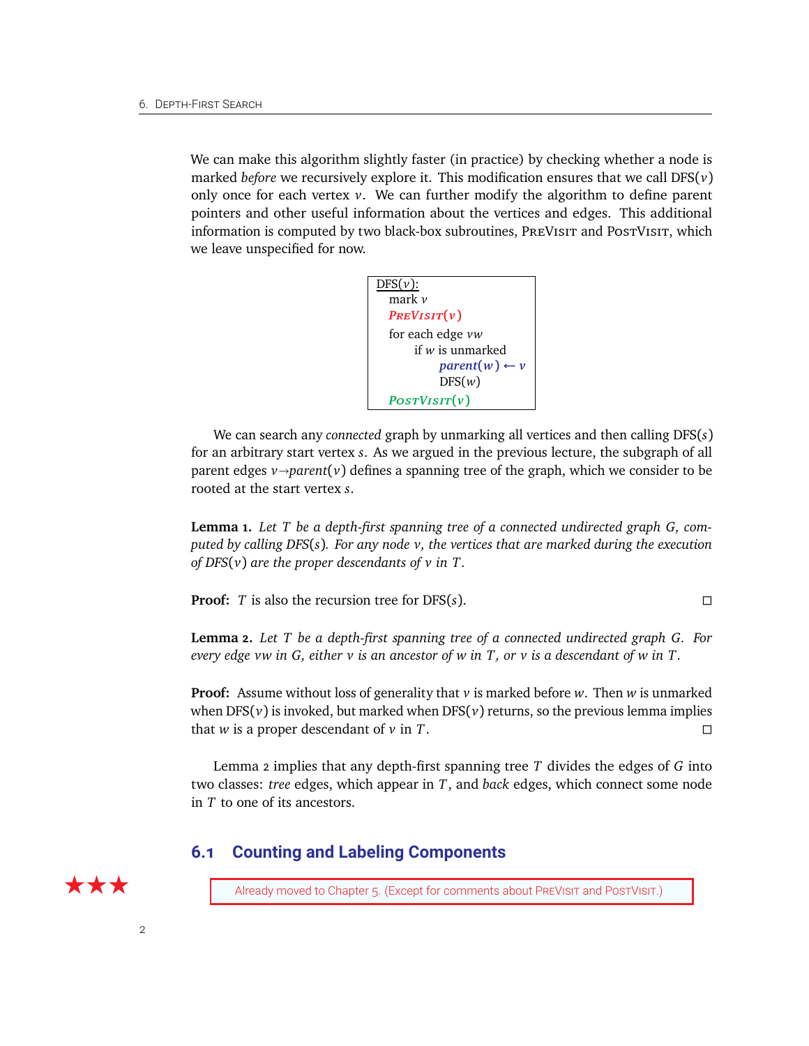We can make this algorithm slightly faster (in practice) by checking whether a node is marked *before* we recursively explore it. This modification ensures that we call DFS $(v)$ only once for each vertex  $v$ . We can further modify the algorithm to define parent pointers and other useful information about the vertices and edges. This additional information is computed by two black-box subroutines, PREVISIT and POSTVISIT, which we leave unspecified for now.



We can search any *connected* graph by unmarking all vertices and then calling DFS(*s*) for an arbitrary start vertex *s*. As we argued in the previous lecture, the subgraph of all parent edges  $v \rightarrow parent(v)$  defines a spanning tree of the graph, which we consider to be rooted at the start vertex *s*.

**Lemma 1.** *Let T be a depth-first spanning tree of a connected undirected graph G, computed by calling DFS*(*s*)*. For any node v, the vertices that are marked during the execution of DFS*(*v*) *are the proper descendants of v in T.*

**Proof:** *T* is also the recursion tree for DFS(*s*).

**Lemma 2.** *Let T be a depth-first spanning tree of a connected undirected graph G. For every edge vw in G, either v is an ancestor of w in T, or v is a descendant of w in T.*

**Proof:** Assume without loss of generality that *v* is marked before *w*. Then *w* is unmarked when DFS( $v$ ) is invoked, but marked when DFS( $v$ ) returns, so the previous lemma implies that *w* is a proper descendant of *v* in *T*.

Lemma 2 implies that any depth-first spanning tree *T* divides the edges of *G* into two classes: *tree* edges, which appear in *T*, and *back* edges, which connect some node in *T* to one of its ancestors.

# **6.1 Counting and Labeling Components**

ÆÆÆ Already moved to Chapter 5. (Except for comments about PREVISIT and POSTVISIT.)

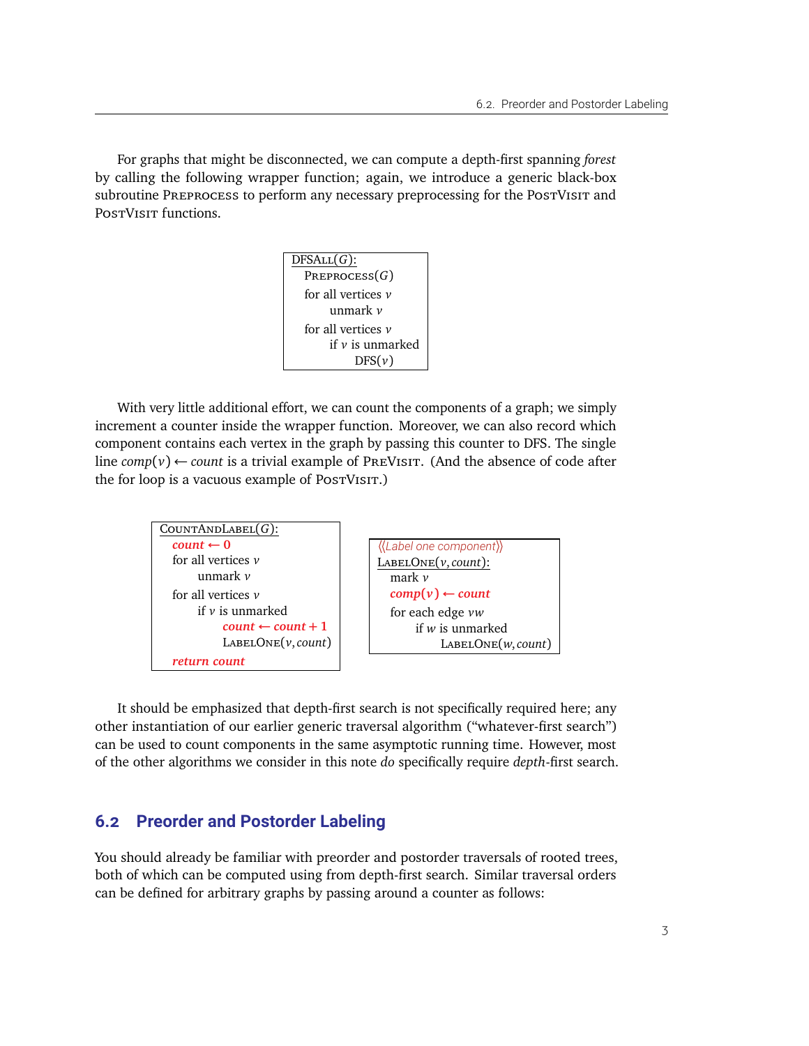For graphs that might be disconnected, we can compute a depth-first spanning *forest* by calling the following wrapper function; again, we introduce a generic black-box subroutine PREPROCESS to perform any necessary preprocessing for the PosTVISIT and POSTVISIT functions.

| $DFSALL(G)$ :       |
|---------------------|
| $P$ REPROCESS $(G)$ |
| for all vertices v  |
| unmark v            |
| for all vertices v  |
| if v is unmarked    |
| DFS(v)              |

With very little additional effort, we can count the components of a graph; we simply increment a counter inside the wrapper function. Moreover, we can also record which component contains each vertex in the graph by passing this counter to DFS. The single line *comp*( $v$ ) ← *count* is a trivial example of PREVISIT. (And the absence of code after the for loop is a vacuous example of PostVisit.)



It should be emphasized that depth-first search is not specifically required here; any other instantiation of our earlier generic traversal algorithm ("whatever-first search") can be used to count components in the same asymptotic running time. However, most of the other algorithms we consider in this note *do* specifically require *depth*-first search.

# **6.2 Preorder and Postorder Labeling**

You should already be familiar with preorder and postorder traversals of rooted trees, both of which can be computed using from depth-first search. Similar traversal orders can be defined for arbitrary graphs by passing around a counter as follows: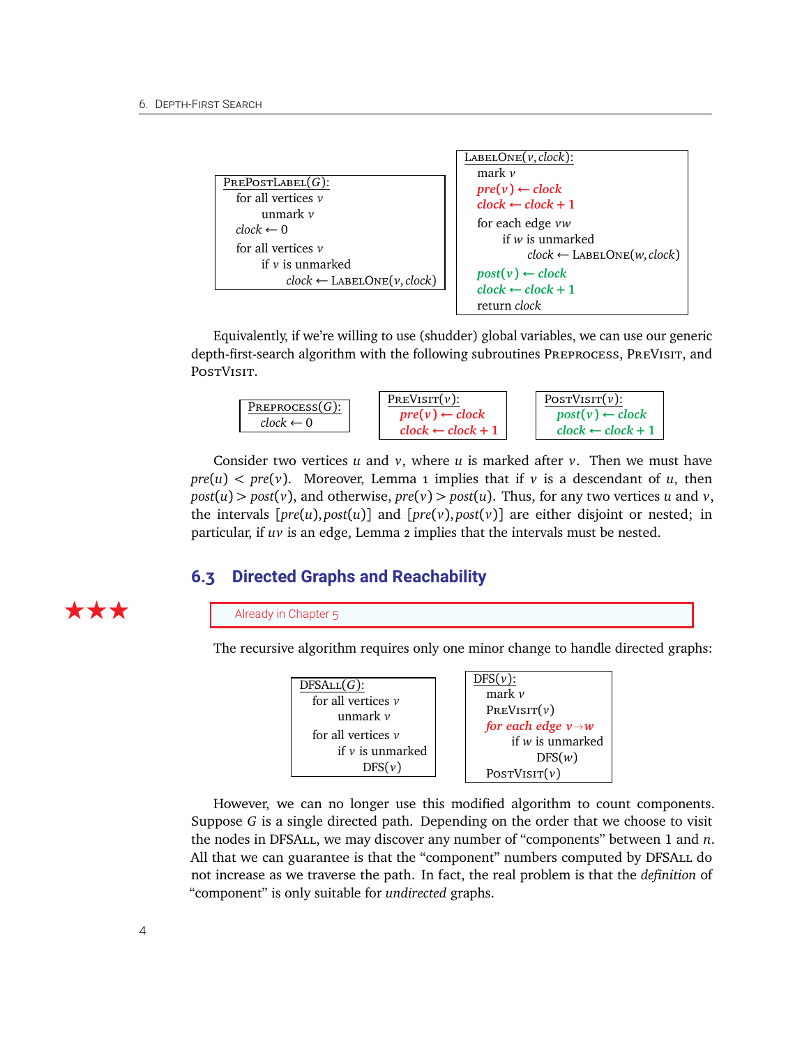

Equivalently, if we're willing to use (shudder) global variables, we can use our generic depth-first-search algorithm with the following subroutines PREPROCESS, PREVISIT, and PostVisit.



Consider two vertices *u* and *v*, where *u* is marked after *v*. Then we must have  $pre(u) < pre(v)$ . Moreover, Lemma 1 implies that if *v* is a descendant of *u*, then  $post(u)$  *>*  $post(v)$ , and otherwise,  $pre(v)$  *>*  $post(u)$ . Thus, for any two vertices *u* and *v*, the intervals  $[pre(u), post(u)]$  and  $[pre(v), post(v)]$  are either disjoint or nested; in particular, if *uv* is an edge, Lemma 2 implies that the intervals must be nested.

## **6.3 Directed Graphs and Reachability**

 $\bigstar \bigstar$  Already in Chapter 5

The recursive algorithm requires only one minor change to handle directed graphs:

| $DFSALL(G)$ :<br>for all vertices $\nu$<br>unmark $\nu$<br>for all vertices $\nu$<br>if $\nu$ is unmarked<br>DFS(v) | $DFS(v)$ :<br>mark $\nu$<br>PREVIST(v)<br>for each edge $v \rightarrow w$<br>if $w$ is unmarked<br>DFS(w)<br>POSTVISIT $(v)$ |
|---------------------------------------------------------------------------------------------------------------------|------------------------------------------------------------------------------------------------------------------------------|
|---------------------------------------------------------------------------------------------------------------------|------------------------------------------------------------------------------------------------------------------------------|

However, we can no longer use this modified algorithm to count components. Suppose *G* is a single directed path. Depending on the order that we choose to visit the nodes in DFSAll, we may discover any number of "components" between 1 and *n*. All that we can guarantee is that the "component" numbers computed by DFSAll do not increase as we traverse the path. In fact, the real problem is that the *definition* of "component" is only suitable for *undirected* graphs.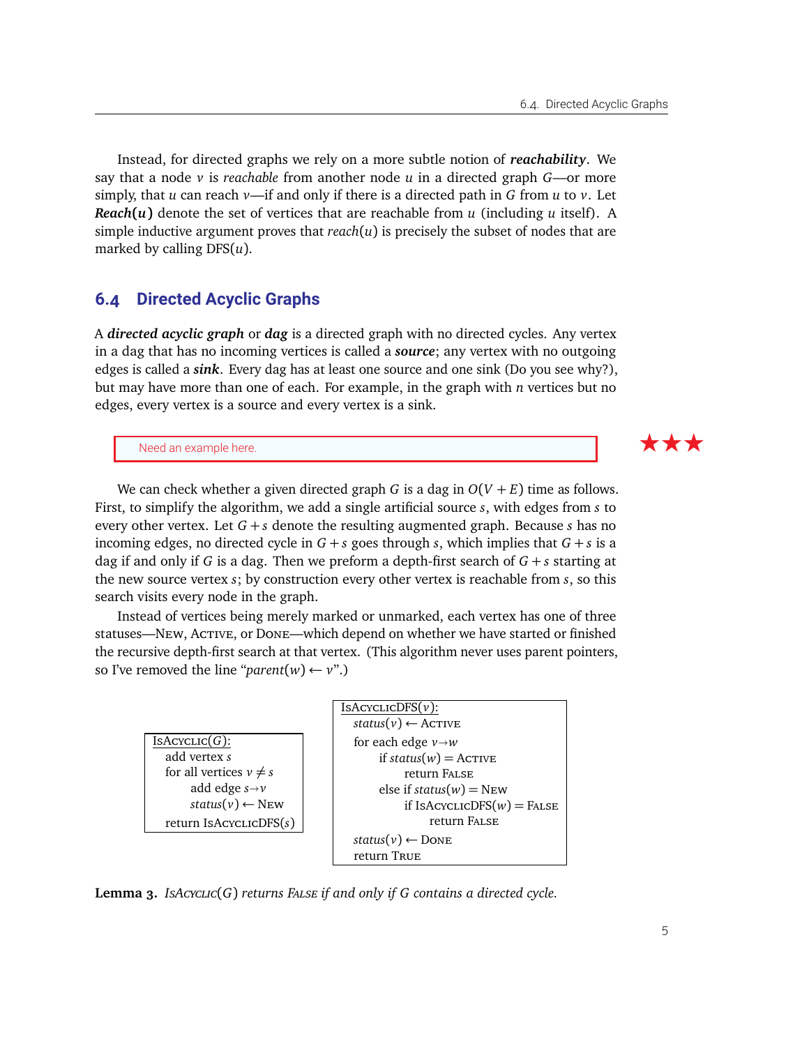Instead, for directed graphs we rely on a more subtle notion of *reachability*. We say that a node  $\nu$  is *reachable* from another node  $\mu$  in a directed graph *G*—or more simply, that *u* can reach  $\nu$ —if and only if there is a directed path in *G* from *u* to  $\nu$ . Let *Reach***(** $u$ **)** denote the set of vertices that are reachable from  $u$  (including  $u$  itself). A simple inductive argument proves that  $reach(u)$  is precisely the subset of nodes that are marked by calling DFS(*u*).

## **6.4 Directed Acyclic Graphs**

A *directed acyclic graph* or *dag* is a directed graph with no directed cycles. Any vertex in a dag that has no incoming vertices is called a *source*; any vertex with no outgoing edges is called a *sink*. Every dag has at least one source and one sink (Do you see why?), but may have more than one of each. For example, in the graph with *n* vertices but no edges, every vertex is a source and every vertex is a sink.

Need an example here.

We can check whether a given directed graph *G* is a dag in  $O(V + E)$  time as follows. First, to simplify the algorithm, we add a single artificial source *s*, with edges from *s* to every other vertex. Let  $G + s$  denote the resulting augmented graph. Because  $s$  has no incoming edges, no directed cycle in  $G + s$  goes through  $s$ , which implies that  $G + s$  is a dag if and only if *G* is a dag. Then we preform a depth-first search of  $G + s$  starting at the new source vertex *s*; by construction every other vertex is reachable from *s*, so this search visits every node in the graph.

Instead of vertices being merely marked or unmarked, each vertex has one of three statuses—New, Active, or Done—which depend on whether we have started or finished the recursive depth-first search at that vertex. (This algorithm never uses parent pointers, so I've removed the line "*parent*( $w$ )  $\leftarrow$   $v$ ".)

|                                   | IsAcyclicDFS $(v)$ :               |
|-----------------------------------|------------------------------------|
|                                   | $status(v) \leftarrow$ ACTIVE      |
| IsAcyclic(G):                     | for each edge $v \rightarrow w$    |
| add vertex s                      | if $status(w) = \text{ACTIVE}$     |
| for all vertices $v \neq s$       | return FALSE                       |
| add edge $s \rightarrow v$        | else if $status(w) = New$          |
| $status(v) \leftarrow \text{New}$ | if IsAcyclicDFS $(w)$ = FALSE      |
| return IsAcycLIcDFS $(s)$         | return FALSE                       |
|                                   | $status(v) \leftarrow \text{DONE}$ |
|                                   | return True                        |

**Lemma 3.** *IsAcyclic*(*G*) *returns False if and only if G contains a directed cycle.*

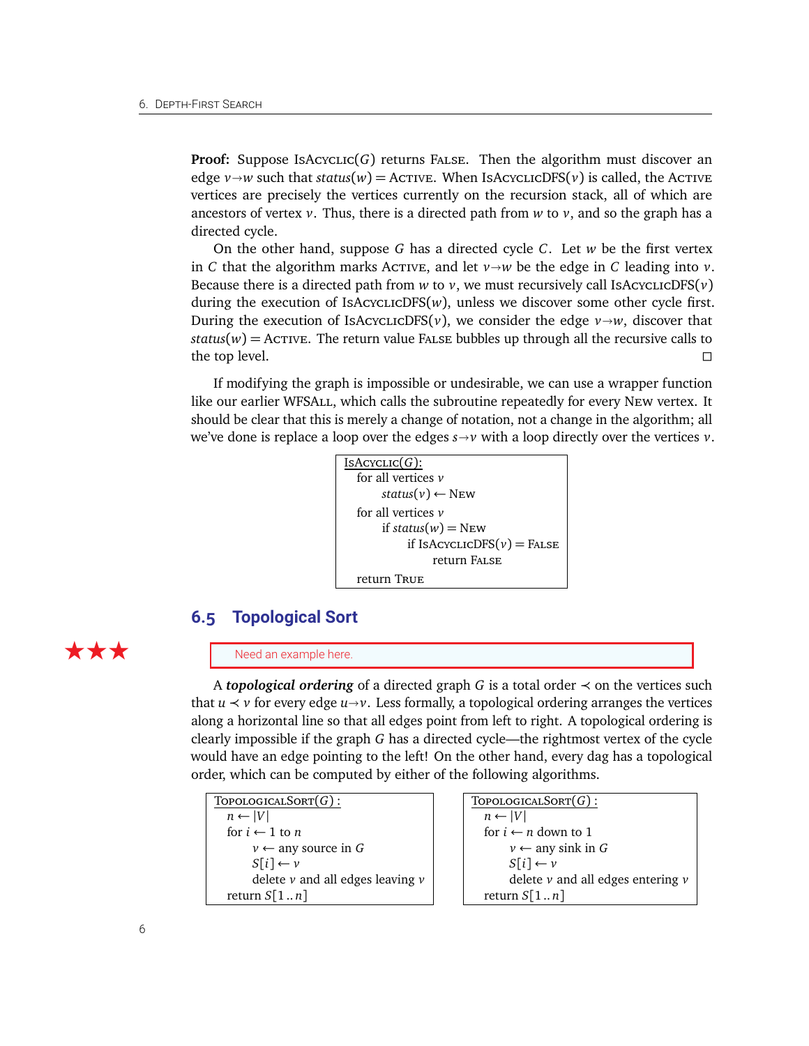**Proof:** Suppose IsAcyclic( $G$ ) returns FALSE. Then the algorithm must discover an edge  $v \rightarrow w$  such that *status*(*w*) = Active. When IsAcyclicDFS(*v*) is called, the Active vertices are precisely the vertices currently on the recursion stack, all of which are ancestors of vertex  $v$ . Thus, there is a directed path from  $w$  to  $v$ , and so the graph has a directed cycle.

On the other hand, suppose *G* has a directed cycle *C*. Let *w* be the first vertex in *C* that the algorithm marks Active, and let  $v \rightarrow w$  be the edge in *C* leading into *v*. Because there is a directed path from  $w$  to  $v$ , we must recursively call IsAcycLIcDFS( $v$ ) during the execution of IsAcyclicDFS $(w)$ , unless we discover some other cycle first. During the execution of IsAcyclicDFS( $\nu$ ), we consider the edge  $\nu \rightarrow \nu$ , discover that *status*( $w$ ) = Active. The return value FALSE bubbles up through all the recursive calls to the top level.  $\Box$ 

If modifying the graph is impossible or undesirable, we can use a wrapper function like our earlier WFSAll, which calls the subroutine repeatedly for every New vertex. It should be clear that this is merely a change of notation, not a change in the algorithm; all we've done is replace a loop over the edges  $s \rightarrow v$  with a loop directly over the vertices  $v$ .

```
IsAcyclic(G):
for all vertices v
    status(v) \leftarrow New
for all vertices v
     if status(w) = NEWif IsAcyclicDFS(v) = Falsereturn False
return True
```
# **6.5 Topological Sort**



# $\bigstar \star \bigstar$  Need an example here.

A *topological ordering* of a directed graph *G* is a total order  $\prec$  on the vertices such that  $u \prec v$  for every edge  $u \rightarrow v$ . Less formally, a topological ordering arranges the vertices along a horizontal line so that all edges point from left to right. A topological ordering is clearly impossible if the graph *G* has a directed cycle—the rightmost vertex of the cycle would have an edge pointing to the left! On the other hand, every dag has a topological order, which can be computed by either of the following algorithms.

```
TopologicalSort(G) :
n \leftarrow |V|for i \leftarrow 1 to n
      v ← any source in G
      S[i] \leftarrow vdelete v and all edges leaving v
return S[1 .. n]
```

```
TopologicalSort(G) :
n \leftarrow |V|for i \leftarrow n down to 1
      v \leftarrow any sink in G
      S[i] \leftarrow vdelete v and all edges entering v
return S[1 .. n]
```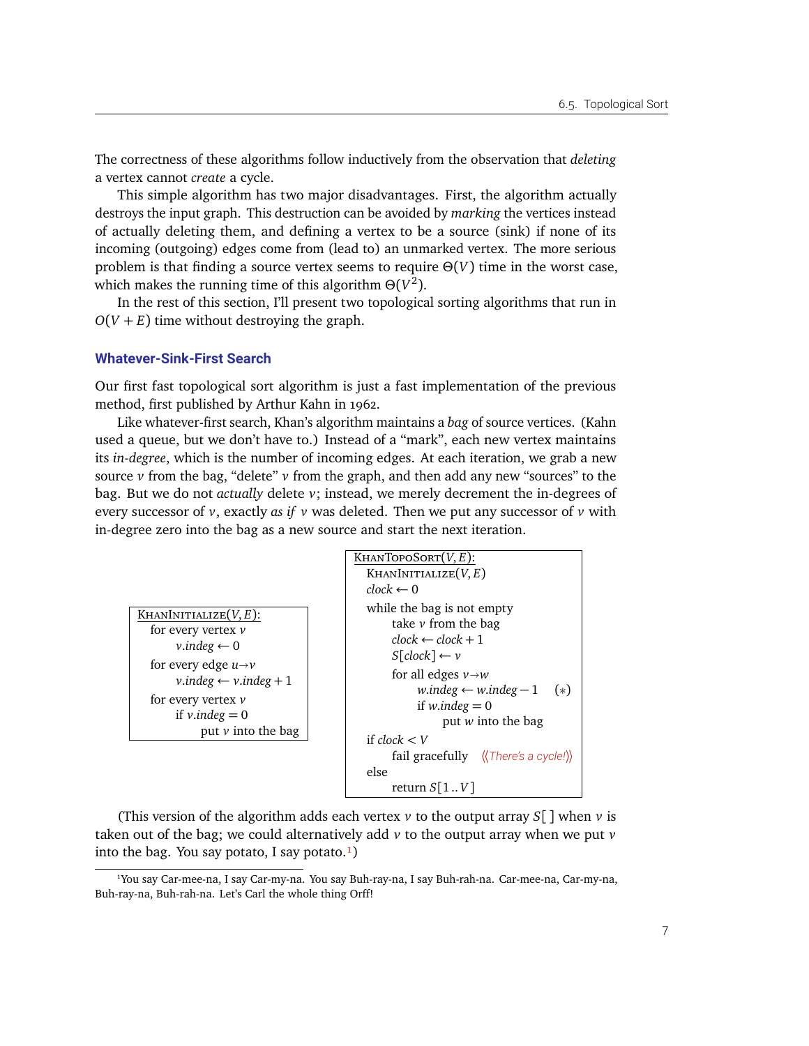The correctness of these algorithms follow inductively from the observation that *deleting* a vertex cannot *create* a cycle.

This simple algorithm has two major disadvantages. First, the algorithm actually destroys the input graph. This destruction can be avoided by *marking* the vertices instead of actually deleting them, and defining a vertex to be a source (sink) if none of its incoming (outgoing) edges come from (lead to) an unmarked vertex. The more serious problem is that finding a source vertex seems to require *Θ*(*V*) time in the worst case, which makes the running time of this algorithm *Θ*(*V* 2 ).

In the rest of this section, I'll present two topological sorting algorithms that run in  $O(V + E)$  time without destroying the graph.

#### **Whatever-Sink-First Search**

Our first fast topological sort algorithm is just a fast implementation of the previous method, first published by Arthur Kahn in 1962.

Like whatever-first search, Khan's algorithm maintains a *bag* of source vertices. (Kahn used a queue, but we don't have to.) Instead of a "mark", each new vertex maintains its *in-degree*, which is the number of incoming edges. At each iteration, we grab a new source  $\nu$  from the bag, "delete"  $\nu$  from the graph, and then add any new "sources" to the bag. But we do not *actually* delete *v*; instead, we merely decrement the in-degrees of every successor of *v*, exactly *as if v* was deleted. Then we put any successor of *v* with in-degree zero into the bag as a new source and start the next iteration.



(This version of the algorithm adds each vertex *v* to the output array *S*[ ] when *v* is taken out of the bag; we could alternatively add *v* to the output array when we put *v* into the bag. You say potato, I say potato. $<sup>1</sup>$ )</sup>

<span id="page-6-0"></span><sup>1</sup>You say Car-mee-na, I say Car-my-na. You say Buh-ray-na, I say Buh-rah-na. Car-mee-na, Car-my-na, Buh-ray-na, Buh-rah-na. Let's Carl the whole thing Orff!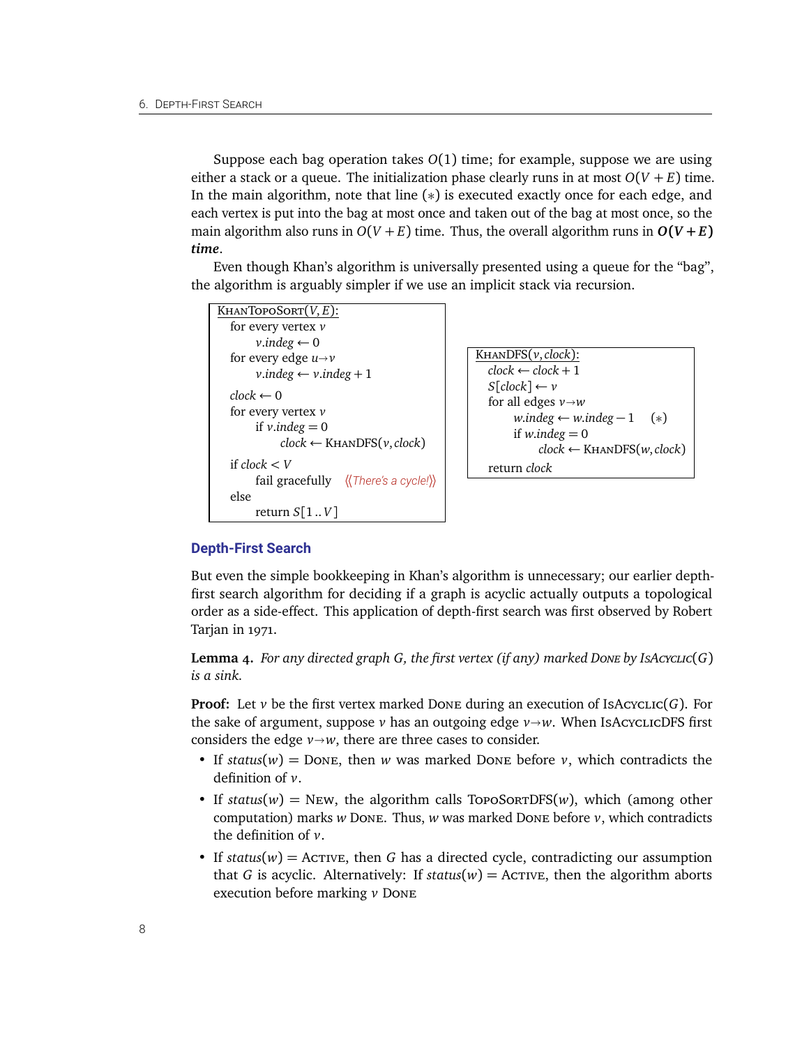Suppose each bag operation takes *O*(1) time; for example, suppose we are using either a stack or a queue. The initialization phase clearly runs in at most  $O(V + E)$  time. In the main algorithm, note that line (∗) is executed exactly once for each edge, and each vertex is put into the bag at most once and taken out of the bag at most once, so the main algorithm also runs in  $O(V + E)$  time. Thus, the overall algorithm runs in  $O(V + E)$ *time*.

Even though Khan's algorithm is universally presented using a queue for the "bag", the algorithm is arguably simpler if we use an implicit stack via recursion.

```
KhanTopoSort(V, E):
for every vertex v
      v.indeg \leftarrow 0
for every edge u \rightarrow vv.indeg \leftarrow v.indeg + 1
clock \leftarrow 0for every vertex v
      if vindeg = 0
            clock ← KHANDFS(v, clock)
if clock < V
      fail gracefully \langle\langle There's a cycle!\rangle\rangleelse
      return S[1 .. V]
```

```
KhanDFS(v,clock):
clock \leftarrow clock + 1S[clock] \leftarrow vfor all edges v \rightarrow wwindeg ← windeg − 1 (*)
     if windeg = 0
          clock ← KhanDFS(w,clock)
return clock
```
#### **Depth-First Search**

But even the simple bookkeeping in Khan's algorithm is unnecessary; our earlier depthfirst search algorithm for deciding if a graph is acyclic actually outputs a topological order as a side-effect. This application of depth-first search was first observed by Robert Tarjan in 1971.

**Lemma 4.** *For any directed graph G, the first vertex (if any) marked Done by IsAcyclic*(*G*) *is a sink.*

**Proof:** Let  $\nu$  be the first vertex marked Done during an execution of IsAcyclic(*G*). For the sake of argument, suppose  $\nu$  has an outgoing edge  $\nu \rightarrow \nu$ . When IsAcyclicDFS first considers the edge  $v \rightarrow w$ , there are three cases to consider.

- If  $status(w) =$  Done, then *w* was marked Done before *v*, which contradicts the definition of *v*.
- If  $status(w) = New$ , the algorithm calls TopoSort DFS(*w*), which (among other computation) marks  $w$  Done. Thus,  $w$  was marked Done before  $v$ , which contradicts the definition of *v*.
- If  $status(w) =$  Active, then *G* has a directed cycle, contradicting our assumption that *G* is acyclic. Alternatively: If  $status(w) =$  Active, then the algorithm aborts execution before marking *v* Done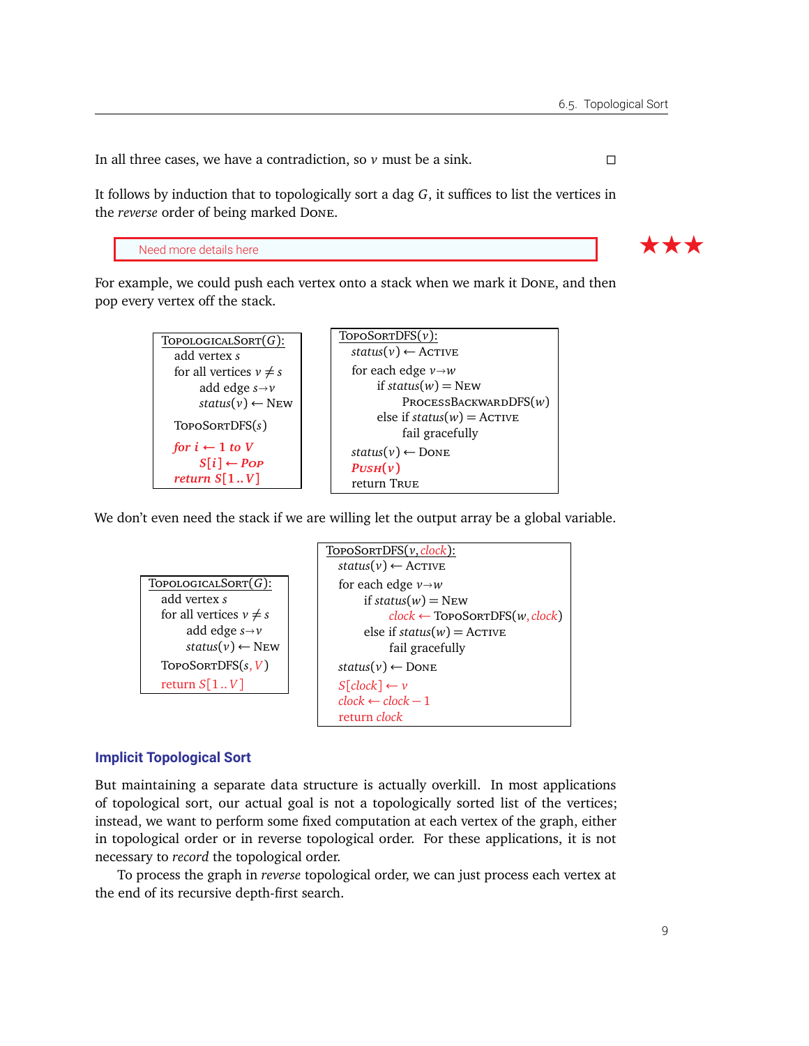In all three cases, we have a contradiction, so *v* must be a sink.

It follows by induction that to topologically sort a dag *G*, it suffices to list the vertices in the *reverse* order of being marked Done.

```
Need more details here E
```
For example, we could push each vertex onto a stack when we mark it Done, and then pop every vertex off the stack.

| TopoloGICALSort(G):                     | Toposor <sub>DFS</sub> (v):                            |
|-----------------------------------------|--------------------------------------------------------|
| add vertex s                            | $status(v) \leftarrow$ ACTIVE                          |
| for all vertices $v \neq s$             | for each edge $v \rightarrow w$                        |
| add edge $s \rightarrow v$              | if $status(w) = New$                                   |
| $status(v) \leftarrow New$              | PROCESSBACKWARDDFS $(w)$                               |
| Toposor <sub>DFS(s)</sub>               | else if $status(w) = \text{ACTIVE}$<br>fail gracefully |
| for $i \leftarrow 1$ to V               | $status(v) \leftarrow \text{DONE}$                     |
| $S[i] \leftarrow Pop$<br>return $S[1V]$ | $P \nu S H(\nu)$                                       |
|                                         | return True                                            |

We don't even need the stack if we are willing let the output array be a global variable.

```
TopologicalSort(G):
add vertex s
for all vertices v \neq sadd edge sv
    status(v) \leftarrow New
TopoSortDFS(s, V)
return S[1 .. V]
```

```
TopoSortDFS(v,clock):
status(v) \leftarrow Active
for each edge v \rightarrow wif status(w) = Newclock ← TopoSortDFS(w,clock)
      else if status(w) = Active
           fail gracefully
status(v) \leftarrow \text{DONE}S[clock] \leftarrow vclock \leftarrow clock - 1return clock
```
#### **Implicit Topological Sort**

But maintaining a separate data structure is actually overkill. In most applications of topological sort, our actual goal is not a topologically sorted list of the vertices; instead, we want to perform some fixed computation at each vertex of the graph, either in topological order or in reverse topological order. For these applications, it is not necessary to *record* the topological order.

To process the graph in *reverse* topological order, we can just process each vertex at the end of its recursive depth-first search.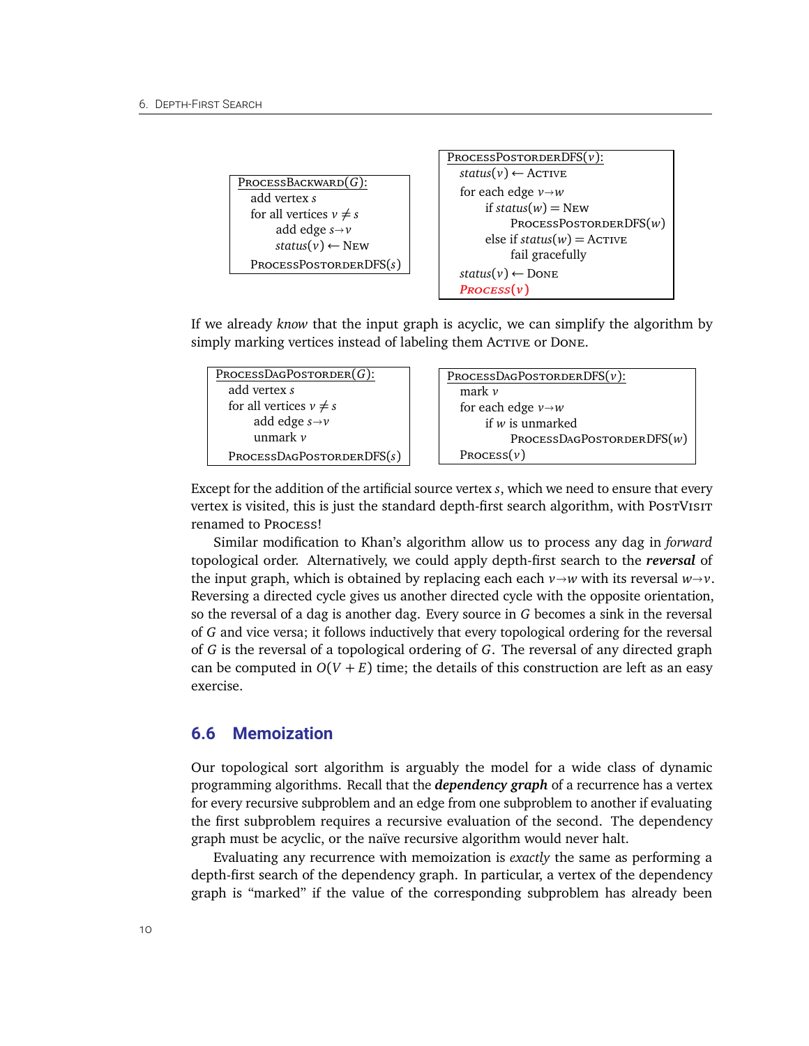

If we already *know* that the input graph is acyclic, we can simplify the algorithm by simply marking vertices instead of labeling them AcTIVE or DONE.



```
ProcessDagPostorderDFS(v):
mark v
for each edge v \rightarrow wif w is unmarked
         ProcessDagPostorderDFS(w)
Process(v)
```
Except for the addition of the artificial source vertex *s*, which we need to ensure that every vertex is visited, this is just the standard depth-first search algorithm, with PostVIsIT renamed to Process!

Similar modification to Khan's algorithm allow us to process any dag in *forward* topological order. Alternatively, we could apply depth-first search to the *reversal* of the input graph, which is obtained by replacing each each  $v \rightarrow w$  with its reversal  $w \rightarrow v$ . Reversing a directed cycle gives us another directed cycle with the opposite orientation, so the reversal of a dag is another dag. Every source in *G* becomes a sink in the reversal of *G* and vice versa; it follows inductively that every topological ordering for the reversal of *G* is the reversal of a topological ordering of *G*. The reversal of any directed graph can be computed in  $O(V + E)$  time; the details of this construction are left as an easy exercise.

### **6.6 Memoization**

Our topological sort algorithm is arguably the model for a wide class of dynamic programming algorithms. Recall that the *dependency graph* of a recurrence has a vertex for every recursive subproblem and an edge from one subproblem to another if evaluating the first subproblem requires a recursive evaluation of the second. The dependency graph must be acyclic, or the naïve recursive algorithm would never halt.

Evaluating any recurrence with memoization is *exactly* the same as performing a depth-first search of the dependency graph. In particular, a vertex of the dependency graph is "marked" if the value of the corresponding subproblem has already been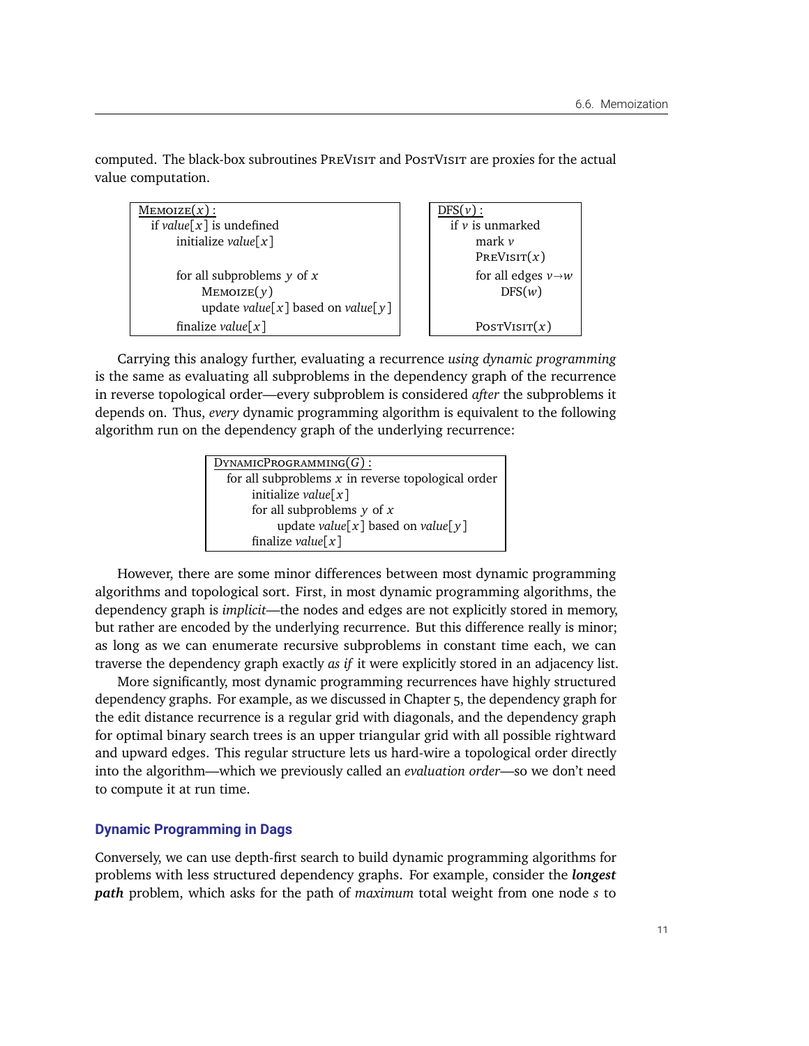computed. The black-box subroutines PreVisit and PostVisit are proxies for the actual value computation.

| $Memoize(x)$ :                                            | DFS <sup>/</sup>                |
|-----------------------------------------------------------|---------------------------------|
| if <i>value</i> [ $x$ ] is undefined                      | if $\nu$ is unmarked            |
| initialize value $\lceil x \rceil$                        | mark $\nu$                      |
|                                                           | PREVIST(x)                      |
| for all subproblems $y$ of $x$                            | for all edges $v \rightarrow w$ |
| $M$ EMOIZE $(y)$                                          | DFS(w)                          |
| update <i>value</i> [ $x$ ] based on <i>value</i> [ $y$ ] |                                 |
| finalize <i>value</i> [ $x$ ]                             | $\text{PosTVisir}(x)$           |

Carrying this analogy further, evaluating a recurrence *using dynamic programming* is the same as evaluating all subproblems in the dependency graph of the recurrence in reverse topological order—every subproblem is considered *after* the subproblems it depends on. Thus, *every* dynamic programming algorithm is equivalent to the following algorithm run on the dependency graph of the underlying recurrence:

| $DynAMICPROGRAMMING(G)$ :                            |
|------------------------------------------------------|
| for all subproblems $x$ in reverse topological order |
| initialize value[ $x$ ]                              |
| for all subproblems $y$ of $x$                       |
| update value[x] based on value[y]                    |
| finalize <i>value</i> [ $x$ ]                        |

However, there are some minor differences between most dynamic programming algorithms and topological sort. First, in most dynamic programming algorithms, the dependency graph is *implicit*—the nodes and edges are not explicitly stored in memory, but rather are encoded by the underlying recurrence. But this difference really is minor; as long as we can enumerate recursive subproblems in constant time each, we can traverse the dependency graph exactly *as if* it were explicitly stored in an adjacency list.

More significantly, most dynamic programming recurrences have highly structured dependency graphs. For example, as we discussed in Chapter 5, the dependency graph for the edit distance recurrence is a regular grid with diagonals, and the dependency graph for optimal binary search trees is an upper triangular grid with all possible rightward and upward edges. This regular structure lets us hard-wire a topological order directly into the algorithm—which we previously called an *evaluation order*—so we don't need to compute it at run time.

#### **Dynamic Programming in Dags**

Conversely, we can use depth-first search to build dynamic programming algorithms for problems with less structured dependency graphs. For example, consider the *longest path* problem, which asks for the path of *maximum* total weight from one node *s* to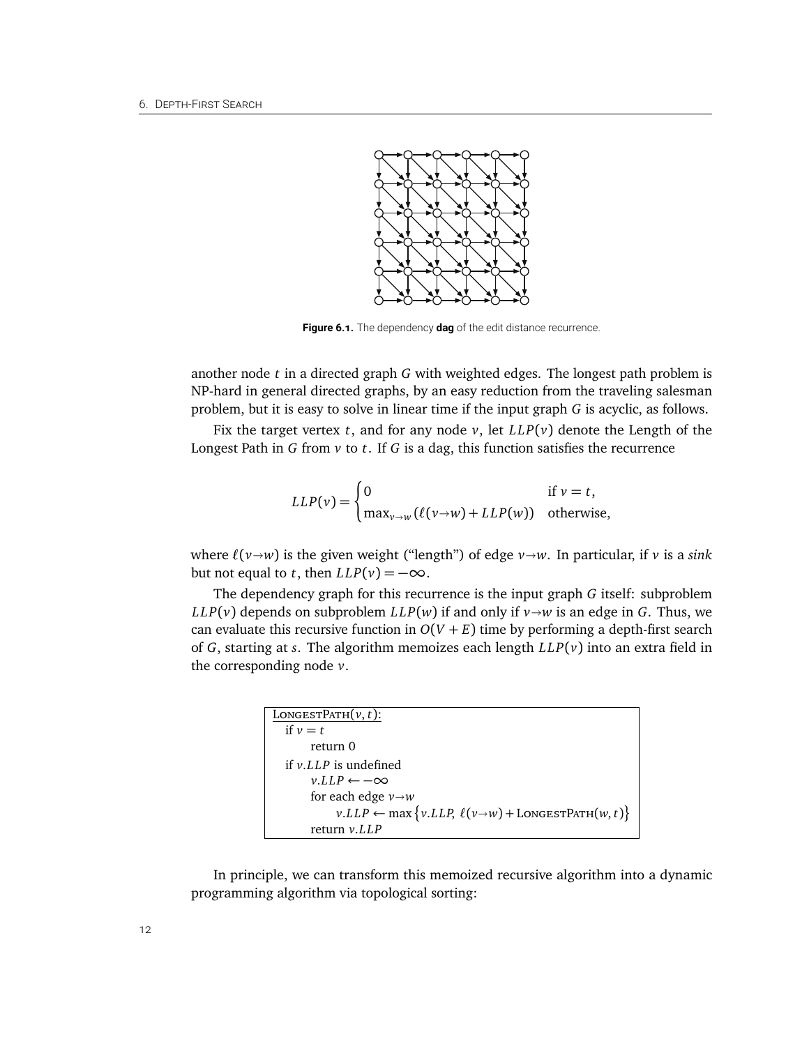

**Figure 6.1.** The dependency **dag** of the edit distance recurrence.

another node *t* in a directed graph *G* with weighted edges. The longest path problem is NP-hard in general directed graphs, by an easy reduction from the traveling salesman problem, but it is easy to solve in linear time if the input graph *G* is acyclic, as follows.

Fix the target vertex *t*, and for any node *v*, let  $LLP(v)$  denote the Length of the Longest Path in  $G$  from  $\nu$  to  $t$ . If  $G$  is a dag, this function satisfies the recurrence

$$
LLP(v) = \begin{cases} 0 & \text{if } v = t, \\ \max_{v \to w} (\ell(v \to w) + LLP(w)) & \text{otherwise,} \end{cases}
$$

where  $\ell(\nu \rightarrow \nu)$  is the given weight ("length") of edge  $\nu \rightarrow \nu$ . In particular, if  $\nu$  is a *sink* but not equal to *t*, then  $LLP(v) = -\infty$ .

The dependency graph for this recurrence is the input graph *G* itself: subproblem *LLP*(*v*) depends on subproblem *LLP*(*w*) if and only if  $v \rightarrow w$  is an edge in *G*. Thus, we can evaluate this recursive function in  $O(V + E)$  time by performing a depth-first search of *G*, starting at *s*. The algorithm memoizes each length *L LP*(*v*) into an extra field in the corresponding node *v*.

| LONGESTPATH $(v, t)$ :                                                                |
|---------------------------------------------------------------------------------------|
| if $v = t$                                                                            |
| return 0                                                                              |
| if $v.LLP$ is undefined                                                               |
| $v.I.I.P \leftarrow -\infty$                                                          |
| for each edge $v \rightarrow w$                                                       |
| $v.LLP \leftarrow \max \{ v.LLP, \ell(v \rightarrow w) + \text{LongestPATH}(w, t) \}$ |
| return $v.LLP$                                                                        |

In principle, we can transform this memoized recursive algorithm into a dynamic programming algorithm via topological sorting: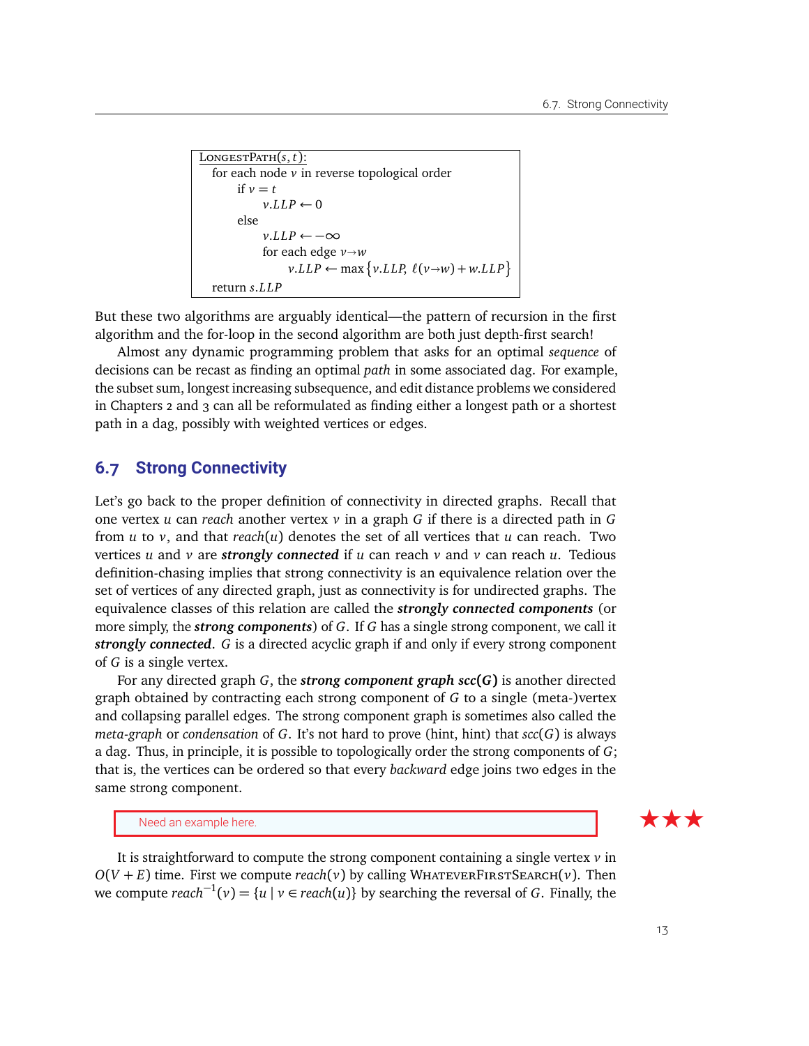```
LONGESTPartH(s, t):
for each node v in reverse topological order
      if v = tv.LLP \leftarrow 0else
            v.LLP \leftarrow -\inftyfor each edge v \rightarrow wv.LLP \leftarrow \max \{ v.LLP, \ell(v \rightarrow w) + w.LLP \}return s.L LP
```
But these two algorithms are arguably identical—the pattern of recursion in the first algorithm and the for-loop in the second algorithm are both just depth-first search!

Almost any dynamic programming problem that asks for an optimal *sequence* of decisions can be recast as finding an optimal *path* in some associated dag. For example, the subset sum, longest increasing subsequence, and edit distance problems we considered in Chapters 2 and 3 can all be reformulated as finding either a longest path or a shortest path in a dag, possibly with weighted vertices or edges.

## **6.7 Strong Connectivity**

Let's go back to the proper definition of connectivity in directed graphs. Recall that one vertex *u* can *reach* another vertex *v* in a graph *G* if there is a directed path in *G* from *u* to *v*, and that *reach*(*u*) denotes the set of all vertices that *u* can reach. Two vertices *u* and *v* are *strongly connected* if *u* can reach *v* and *v* can reach *u*. Tedious definition-chasing implies that strong connectivity is an equivalence relation over the set of vertices of any directed graph, just as connectivity is for undirected graphs. The equivalence classes of this relation are called the *strongly connected components* (or more simply, the *strong components*) of *G*. If *G* has a single strong component, we call it *strongly connected*. *G* is a directed acyclic graph if and only if every strong component of *G* is a single vertex.

For any directed graph *G*, the *strong component graph scc***(***G***)** is another directed graph obtained by contracting each strong component of *G* to a single (meta-)vertex and collapsing parallel edges. The strong component graph is sometimes also called the *meta-graph* or *condensation* of *G*. It's not hard to prove (hint, hint) that *scc*(*G*) is always a dag. Thus, in principle, it is possible to topologically order the strong components of *G*; that is, the vertices can be ordered so that every *backward* edge joins two edges in the same strong component.

Need an example here.

It is straightforward to compute the strong component containing a single vertex  $\nu$  in  $O(V + E)$  time. First we compute *reach*(*v*) by calling WHATEVERFIRSTSEARCH(*v*). Then we compute  $reach^{-1}(v) = \{u \mid v \in reach(u)\}$  by searching the reversal of *G*. Finally, the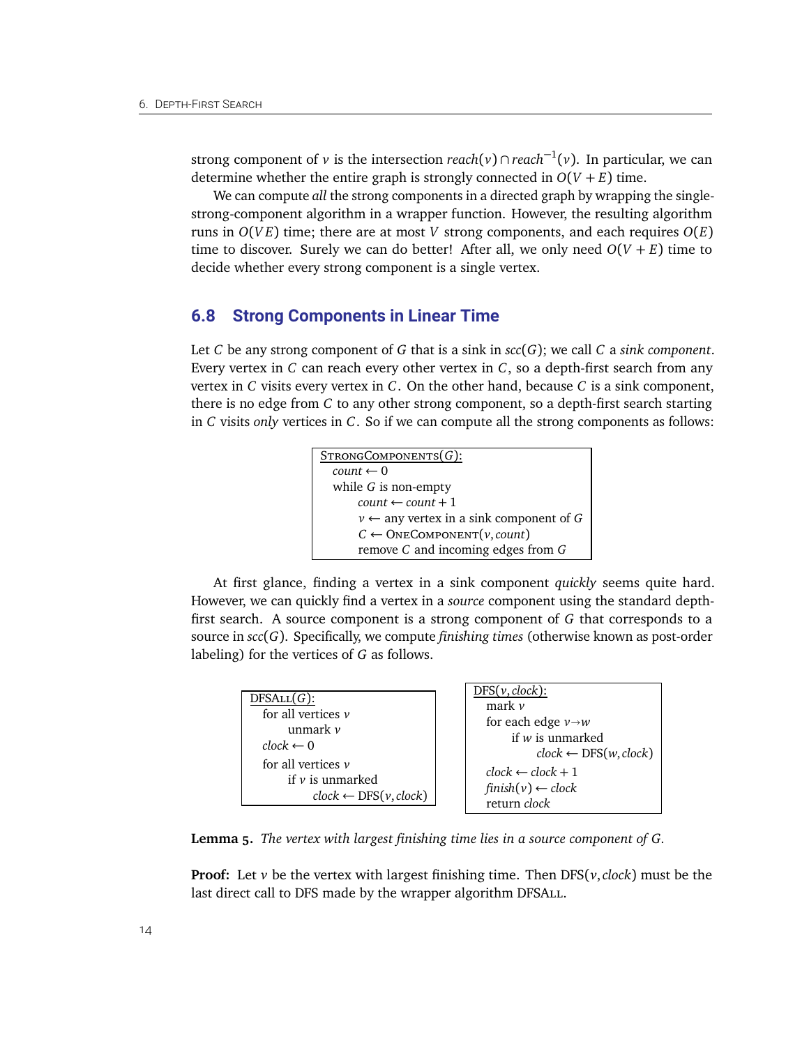strong component of *<sup>v</sup>* is the intersection *reach*(*v*) <sup>∩</sup> *reach*−<sup>1</sup> (*v*). In particular, we can determine whether the entire graph is strongly connected in  $O(V + E)$  time.

We can compute *all* the strong components in a directed graph by wrapping the singlestrong-component algorithm in a wrapper function. However, the resulting algorithm runs in  $O(VE)$  time; there are at most *V* strong components, and each requires  $O(E)$ time to discover. Surely we can do better! After all, we only need  $O(V + E)$  time to decide whether every strong component is a single vertex.

## **6.8 Strong Components in Linear Time**

Let *C* be any strong component of *G* that is a sink in *scc*(*G*); we call *C* a *sink component*. Every vertex in *C* can reach every other vertex in *C*, so a depth-first search from any vertex in *C* visits every vertex in *C*. On the other hand, because *C* is a sink component, there is no edge from *C* to any other strong component, so a depth-first search starting in *C* visits *only* vertices in *C*. So if we can compute all the strong components as follows:

| $STRONGCOMPONENTS(G)$ :                            |
|----------------------------------------------------|
| $count \leftarrow 0$                               |
| while $G$ is non-empty                             |
| $count \leftarrow count + 1$                       |
| $v \leftarrow$ any vertex in a sink component of G |
| $C \leftarrow$ ONECOMPONENT( <i>v</i> , count)     |
| remove $C$ and incoming edges from $G$             |

At first glance, finding a vertex in a sink component *quickly* seems quite hard. However, we can quickly find a vertex in a *source* component using the standard depthfirst search. A source component is a strong component of *G* that corresponds to a source in *scc*(*G*). Specifically, we compute *finishing times* (otherwise known as post-order labeling) for the vertices of *G* as follows.

| $DFSALL(G)$ :                    | $DFS(v, clock)$ :                   |
|----------------------------------|-------------------------------------|
| for all vertices $v$             | mark $\nu$                          |
| unmark $\nu$                     | for each edge $v \rightarrow w$     |
| $clock \leftarrow 0$             | if $w$ is unmarked                  |
|                                  | $clock \leftarrow DFS(w, clock)$    |
| for all vertices $\nu$           | $clock \leftarrow clock + 1$        |
| if $\nu$ is unmarked             | $\text{finish}(v) \leftarrow clock$ |
| $clock \leftarrow DFS(v, clock)$ | return clock                        |
|                                  |                                     |

**Lemma 5.** *The vertex with largest finishing time lies in a source component of G.*

**Proof:** Let *v* be the vertex with largest finishing time. Then DFS( $v$ , *clock*) must be the last direct call to DFS made by the wrapper algorithm DFSALL.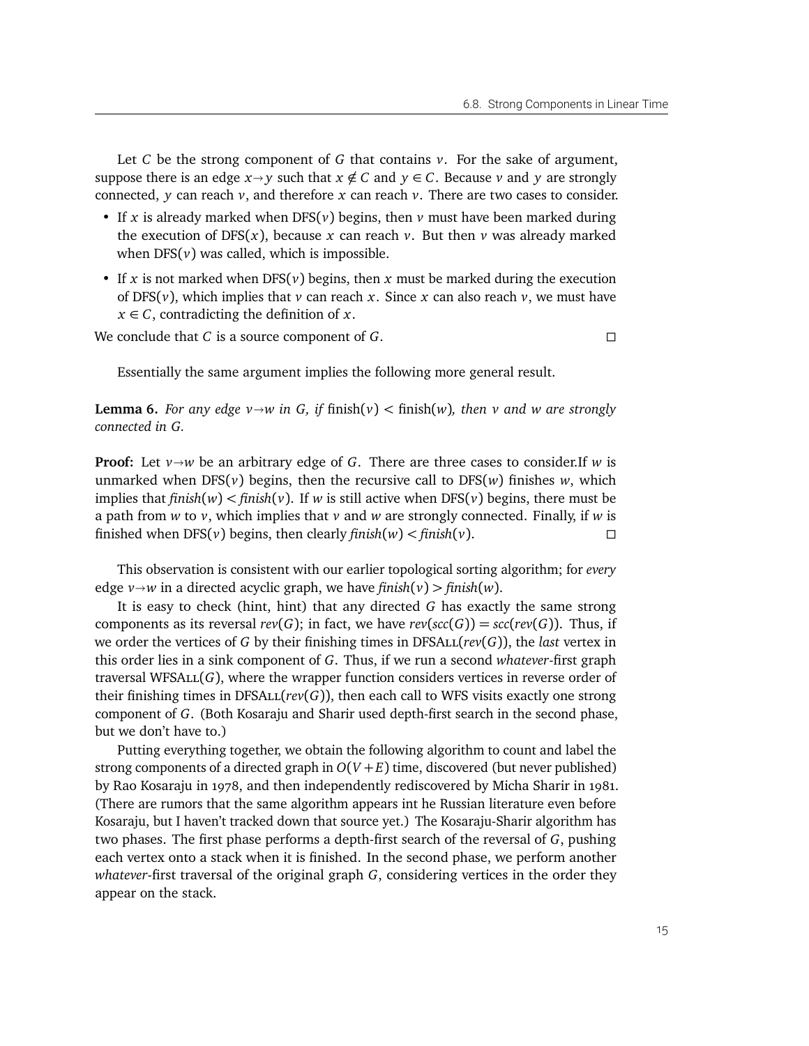Let *C* be the strong component of *G* that contains *v*. For the sake of argument, suppose there is an edge  $x \rightarrow y$  such that  $x \notin C$  and  $y \in C$ . Because  $v$  and  $y$  are strongly connected,  $y$  can reach  $v$ , and therefore  $x$  can reach  $v$ . There are two cases to consider.

- If *x* is already marked when DFS( $\nu$ ) begins, then  $\nu$  must have been marked during the execution of DFS $(x)$ , because *x* can reach *v*. But then *v* was already marked when  $DFS(v)$  was called, which is impossible.
- If *x* is not marked when  $DFS(v)$  begins, then *x* must be marked during the execution of DFS( $v$ ), which implies that  $v$  can reach  $x$ . Since  $x$  can also reach  $v$ , we must have  $x \in C$ , contradicting the definition of *x*.

We conclude that *C* is a source component of *G*.

Essentially the same argument implies the following more general result.

**Lemma 6.** *For any edge*  $v \rightarrow w$  *in G*, *if* finish(*v*)  $\lt$  finish(*w*)*, then v and w are strongly connected in G.*

**Proof:** Let *<sup>v</sup><sup>w</sup>* be an arbitrary edge of *<sup>G</sup>*. There are three cases to consider.If *<sup>w</sup>* is unmarked when  $DFS(v)$  begins, then the recursive call to  $DFS(w)$  finishes *w*, which implies that  $finish(w) < finish(v)$ . If *w* is still active when DFS(*v*) begins, there must be a path from *w* to *v*, which implies that *v* and *w* are strongly connected. Finally, if *w* is finished when DFS(*v*) begins, then clearly  $\text{finish}(w) < \text{finish}(v)$ .

This observation is consistent with our earlier topological sorting algorithm; for *every* edge  $v \rightarrow w$  in a directed acyclic graph, we have  $finish(v) > finish(w)$ .

It is easy to check (hint, hint) that any directed *G* has exactly the same strong components as its reversal  $rev(G)$ ; in fact, we have  $rev(scc(G)) = sc(rev(G))$ . Thus, if we order the vertices of *G* by their finishing times in DFSALL( $rev(G)$ ), the *last* vertex in this order lies in a sink component of *G*. Thus, if we run a second *whatever*-first graph traversal WFSALL $(G)$ , where the wrapper function considers vertices in reverse order of their finishing times in DFSALL( $rev(G)$ ), then each call to WFS visits exactly one strong component of *G*. (Both Kosaraju and Sharir used depth-first search in the second phase, but we don't have to.)

Putting everything together, we obtain the following algorithm to count and label the strong components of a directed graph in  $O(V + E)$  time, discovered (but never published) by Rao Kosaraju in 1978, and then independently rediscovered by Micha Sharir in 1981. (There are rumors that the same algorithm appears int he Russian literature even before Kosaraju, but I haven't tracked down that source yet.) The Kosaraju-Sharir algorithm has two phases. The first phase performs a depth-first search of the reversal of *G*, pushing each vertex onto a stack when it is finished. In the second phase, we perform another *whatever*-first traversal of the original graph *G*, considering vertices in the order they appear on the stack.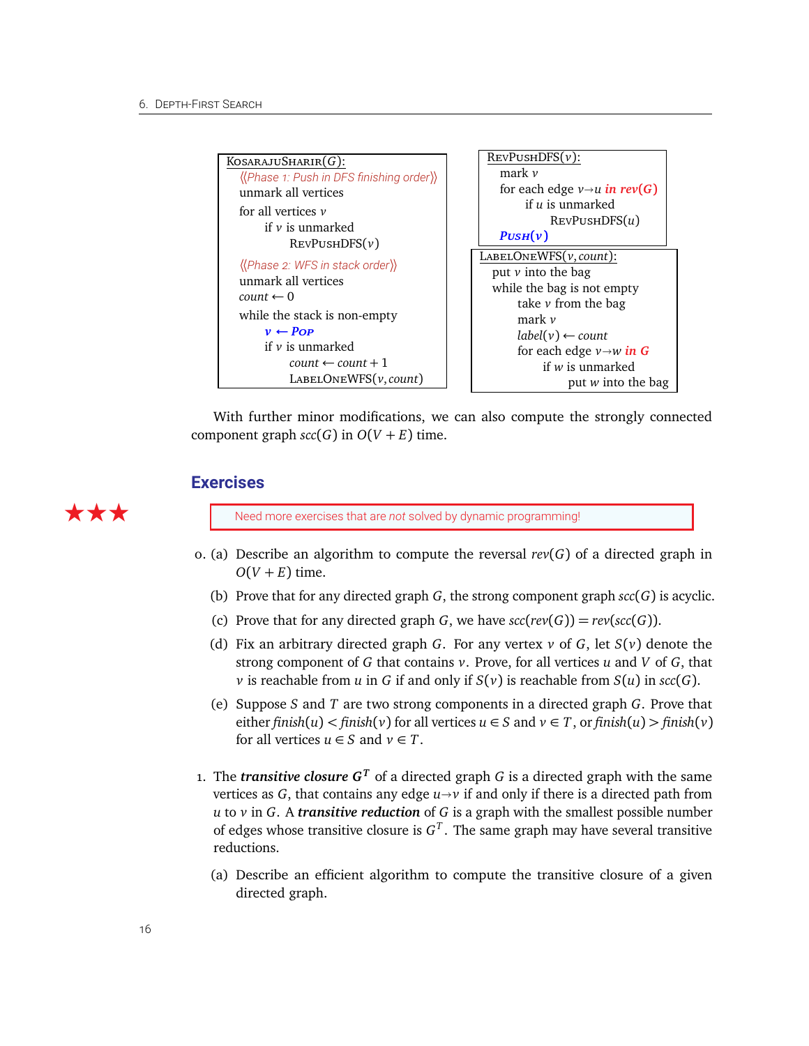

With further minor modifications, we can also compute the strongly connected component graph  $\mathit{scc}(G)$  in  $O(V + E)$  time.

## **Exercises**

<del>★★★</del><br>Need more exercises that are *not* solved by dynamic programming!

- 0. (a) Describe an algorithm to compute the reversal  $rev(G)$  of a directed graph in  $O(V + E)$  time.
	- (b) Prove that for any directed graph  $G$ , the strong component graph  $\mathit{scc}(G)$  is acyclic.
	- (c) Prove that for any directed graph *G*, we have  $\text{scc}(\text{rev}(G)) = \text{rev}(\text{scc}(G)).$
	- (d) Fix an arbitrary directed graph *G*. For any vertex *v* of *G*, let *S*(*v*) denote the strong component of *G* that contains *v*. Prove, for all vertices *u* and *V* of *G*, that *v* is reachable from *u* in *G* if and only if *S*(*v*) is reachable from *S*(*u*) in *scc*(*G*).
	- (e) Suppose *S* and *T* are two strong components in a directed graph *G*. Prove that  $\text{either } \text{f}\text{inish}(u) < \text{f}\text{inish}(v) \text{ for all vertices } u \in S \text{ and } v \in T, \text{ or } \text{f}\text{inish}(u) > \text{f}\text{inish}(v)$ for all vertices  $u \in S$  and  $v \in T$ .
- 1. The *transitive closure*  $G<sup>T</sup>$  of a directed graph  $G$  is a directed graph with the same vertices as  $G$ , that contains any edge  $u \rightarrow v$  if and only if there is a directed path from  $u$  to  $v$  in  $G$ . A *transitive reduction* of  $G$  is a graph with the smallest possible number of edges whose transitive closure is  $G^T.$  The same graph may have several transitive reductions.
	- (a) Describe an efficient algorithm to compute the transitive closure of a given directed graph.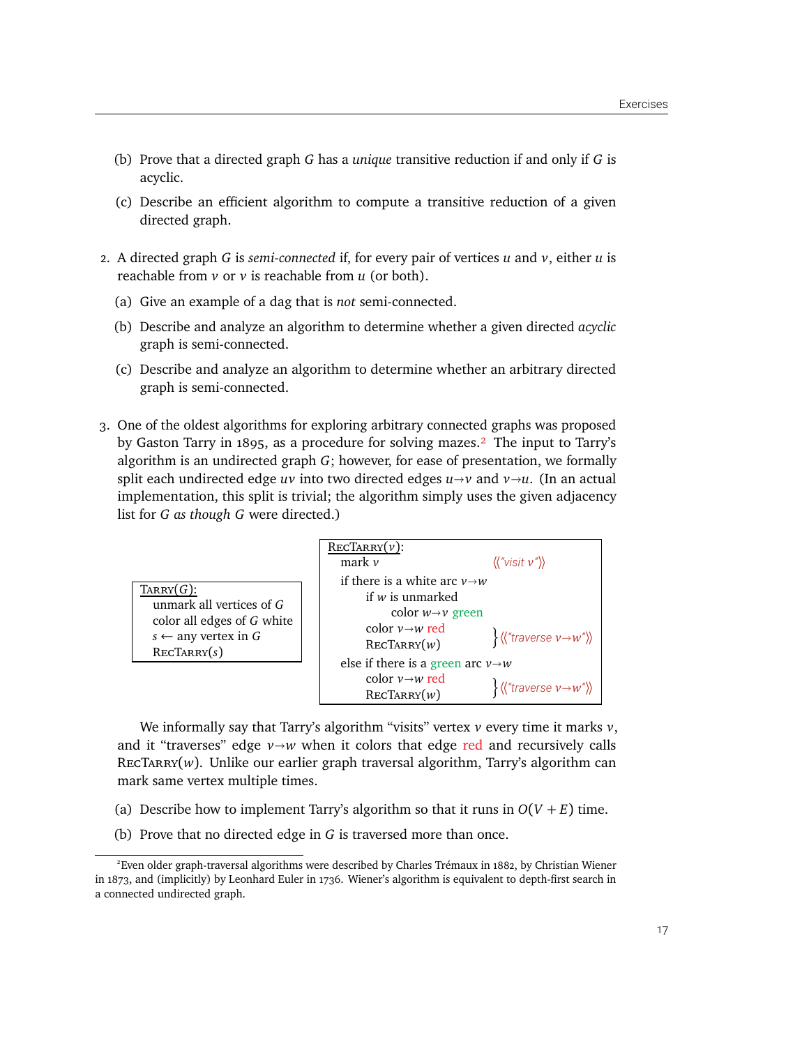- (b) Prove that a directed graph *G* has a *unique* transitive reduction if and only if *G* is acyclic.
- (c) Describe an efficient algorithm to compute a transitive reduction of a given directed graph.
- 2. A directed graph *G* is *semi-connected* if, for every pair of vertices *u* and *v*, either *u* is reachable from *v* or *v* is reachable from *u* (or both).
	- (a) Give an example of a dag that is *not* semi-connected.
	- (b) Describe and analyze an algorithm to determine whether a given directed *acyclic* graph is semi-connected.
	- (c) Describe and analyze an algorithm to determine whether an arbitrary directed graph is semi-connected.
- 3. One of the oldest algorithms for exploring arbitrary connected graphs was proposed by Gaston Tarry in 1895, as a procedure for solving mazes.<sup>2</sup> The input to Tarry's algorithm is an undirected graph *G*; however, for ease of presentation, we formally split each undirected edge *uv* into two directed edges  $u \rightarrow v$  and  $v \rightarrow u$ . (In an actual implementation, this split is trivial; the algorithm simply uses the given adjacency list for *G as though G* were directed.)



We informally say that Tarry's algorithm "visits" vertex *v* every time it marks *v*, and it "traverses" edge  $v \rightarrow w$  when it colors that edge red and recursively calls RecTarry(*w*). Unlike our earlier graph traversal algorithm, Tarry's algorithm can mark same vertex multiple times.

- (a) Describe how to implement Tarry's algorithm so that it runs in  $O(V + E)$  time.
- <span id="page-16-0"></span>(b) Prove that no directed edge in *G* is traversed more than once.

<sup>2</sup>Even older graph-traversal algorithms were described by Charles Trémaux in 1882, by Christian Wiener in 1873, and (implicitly) by Leonhard Euler in 1736. Wiener's algorithm is equivalent to depth-first search in a connected undirected graph.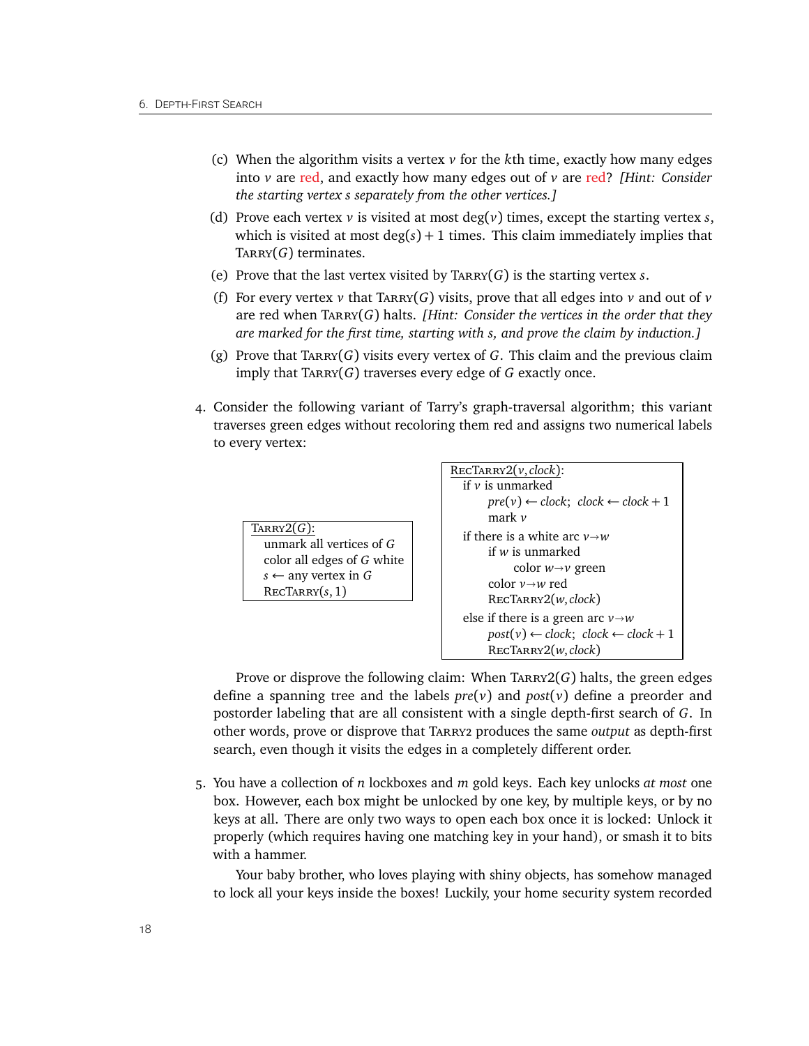- (c) When the algorithm visits a vertex *v* for the *k*th time, exactly how many edges into *v* are red, and exactly how many edges out of *v* are red? *[Hint: Consider the starting vertex s separately from the other vertices.]*
- (d) Prove each vertex *v* is visited at most deg(*v*) times, except the starting vertex *s*, which is visited at most  $\deg(s) + 1$  times. This claim immediately implies that  $TARRY(G)$  terminates.
- (e) Prove that the last vertex visited by Tarry(*G*) is the starting vertex *s*.
- (f) For every vertex  $v$  that TARRY( $G$ ) visits, prove that all edges into  $v$  and out of  $v$ are red when Tarry(*G*) halts. *[Hint: Consider the vertices in the order that they are marked for the first time, starting with s, and prove the claim by induction.]*
- (g) Prove that Tarry(*G*) visits every vertex of *G*. This claim and the previous claim imply that Tarry(*G*) traverses every edge of *G* exactly once.
- 4. Consider the following variant of Tarry's graph-traversal algorithm; this variant traverses green edges without recoloring them red and assigns two numerical labels to every vertex:

| $TART2(G)$ :                   |
|--------------------------------|
| unmark all vertices of G       |
| color all edges of G white     |
| $s \leftarrow$ any vertex in G |
| RecTARY(s, 1)                  |
|                                |

**RECTARRY2(v, clock):**

\nif 
$$
v
$$
 is unmarked

\n
$$
pre(v) \leftarrow clock; clock \leftarrow clock + 1
$$
\nmark  $v$ 

\nif there is a white arc  $v \rightarrow w$ 

\nif  $w$  is unmarked

\ncolor  $w \rightarrow v$  green

\ncolor  $v \rightarrow w$  red

\nRecTARRY2(w, clock)

\nelse if there is a green arc  $v \rightarrow w$ 

\n
$$
post(v) \leftarrow clock; clock \leftarrow clock + 1
$$
\nRecTARRY2(w, clock)

Prove or disprove the following claim: When  $TART2(G)$  halts, the green edges define a spanning tree and the labels  $pre(v)$  and  $post(v)$  define a preorder and postorder labeling that are all consistent with a single depth-first search of *G*. In other words, prove or disprove that Tarry2 produces the same *output* as depth-first search, even though it visits the edges in a completely different order.

5. You have a collection of *n* lockboxes and *m* gold keys. Each key unlocks *at most* one box. However, each box might be unlocked by one key, by multiple keys, or by no keys at all. There are only two ways to open each box once it is locked: Unlock it properly (which requires having one matching key in your hand), or smash it to bits with a hammer.

Your baby brother, who loves playing with shiny objects, has somehow managed to lock all your keys inside the boxes! Luckily, your home security system recorded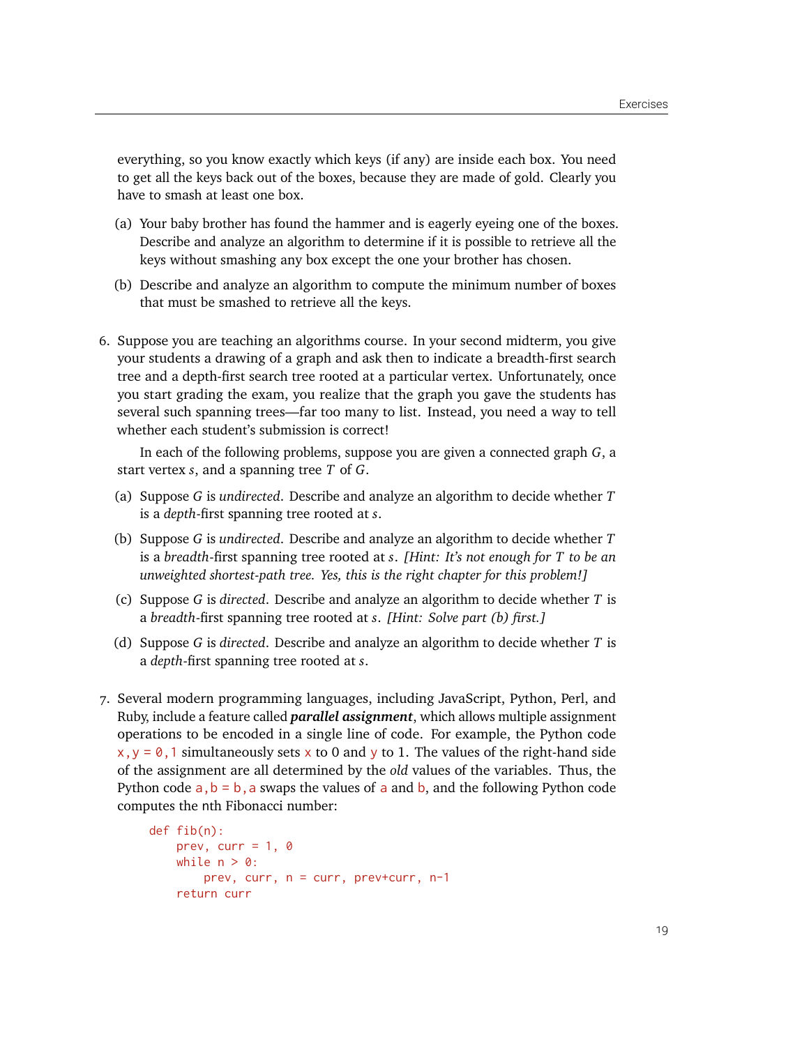everything, so you know exactly which keys (if any) are inside each box. You need to get all the keys back out of the boxes, because they are made of gold. Clearly you have to smash at least one box.

- (a) Your baby brother has found the hammer and is eagerly eyeing one of the boxes. Describe and analyze an algorithm to determine if it is possible to retrieve all the keys without smashing any box except the one your brother has chosen.
- (b) Describe and analyze an algorithm to compute the minimum number of boxes that must be smashed to retrieve all the keys.
- 6. Suppose you are teaching an algorithms course. In your second midterm, you give your students a drawing of a graph and ask then to indicate a breadth-first search tree and a depth-first search tree rooted at a particular vertex. Unfortunately, once you start grading the exam, you realize that the graph you gave the students has several such spanning trees—far too many to list. Instead, you need a way to tell whether each student's submission is correct!

In each of the following problems, suppose you are given a connected graph *G*, a start vertex *s*, and a spanning tree *T* of *G*.

- (a) Suppose *G* is *undirected*. Describe and analyze an algorithm to decide whether *T* is a *depth*-first spanning tree rooted at *s*.
- (b) Suppose *G* is *undirected*. Describe and analyze an algorithm to decide whether *T* is a *breadth*-first spanning tree rooted at *s*. *[Hint: It's not enough for T to be an unweighted shortest-path tree. Yes, this is the right chapter for this problem!]*
- (c) Suppose *G* is *directed*. Describe and analyze an algorithm to decide whether *T* is a *breadth*-first spanning tree rooted at *s*. *[Hint: Solve part (b) first.]*
- (d) Suppose *G* is *directed*. Describe and analyze an algorithm to decide whether *T* is a *depth*-first spanning tree rooted at *s*.
- 7. Several modern programming languages, including JavaScript, Python, Perl, and Ruby, include a feature called *parallel assignment*, which allows multiple assignment operations to be encoded in a single line of code. For example, the Python code  $x, y = 0, 1$  simultaneously sets x to 0 and y to 1. The values of the right-hand side of the assignment are all determined by the *old* values of the variables. Thus, the Python code  $a, b = b$ , a swaps the values of a and b, and the following Python code computes the nth Fibonacci number:

```
def fib(n):
 prev, curr = 1, 0while n > 0:
      prev, curr, n = curr, prev+curr, n-1
  return curr
```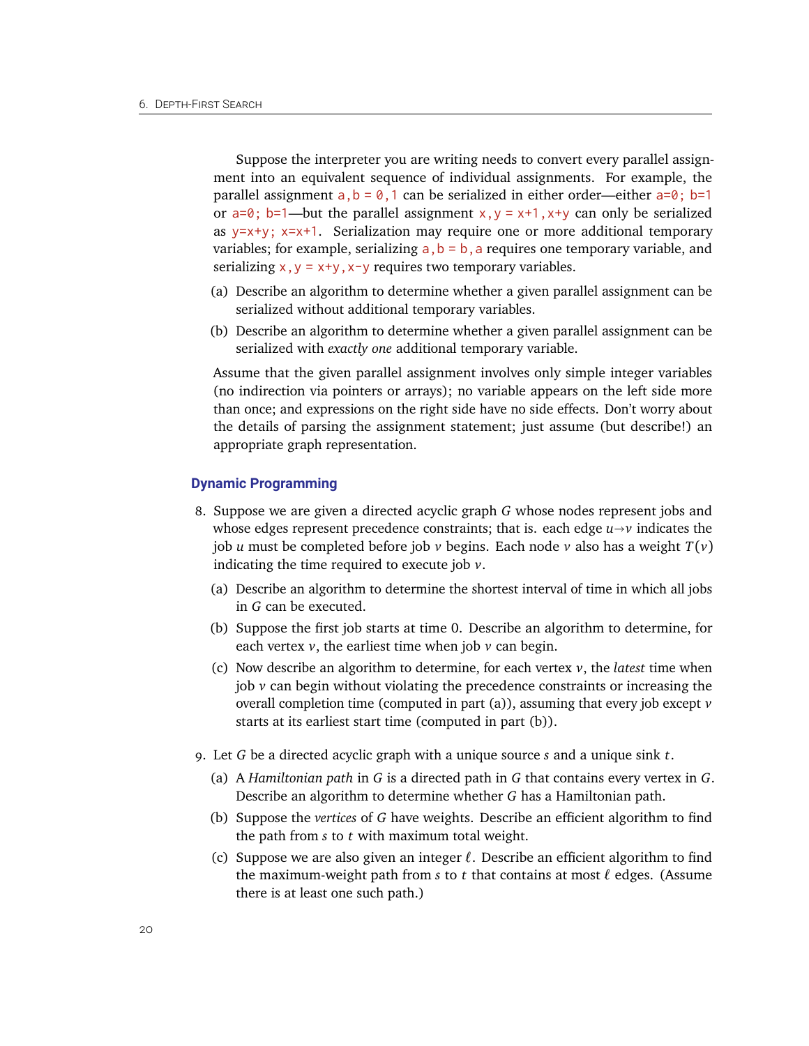Suppose the interpreter you are writing needs to convert every parallel assignment into an equivalent sequence of individual assignments. For example, the parallel assignment a,  $b = 0$ , 1 can be serialized in either order—either a=0; b=1 or  $a=0$ ; b=1—but the parallel assignment x, y = x+1, x+y can only be serialized as  $y=x+y$ ;  $x=x+1$ . Serialization may require one or more additional temporary variables; for example, serializing  $a, b = b$ , a requires one temporary variable, and serializing  $x, y = x+y, x-y$  requires two temporary variables.

- (a) Describe an algorithm to determine whether a given parallel assignment can be serialized without additional temporary variables.
- (b) Describe an algorithm to determine whether a given parallel assignment can be serialized with *exactly one* additional temporary variable.

Assume that the given parallel assignment involves only simple integer variables (no indirection via pointers or arrays); no variable appears on the left side more than once; and expressions on the right side have no side effects. Don't worry about the details of parsing the assignment statement; just assume (but describe!) an appropriate graph representation.

#### **Dynamic Programming**

- 8. Suppose we are given a directed acyclic graph *G* whose nodes represent jobs and whose edges represent precedence constraints; that is. each edge  $u \rightarrow v$  indicates the job *u* must be completed before job *v* begins. Each node *v* also has a weight *T*(*v*) indicating the time required to execute job *v*.
	- (a) Describe an algorithm to determine the shortest interval of time in which all jobs in *G* can be executed.
	- (b) Suppose the first job starts at time 0. Describe an algorithm to determine, for each vertex  $v$ , the earliest time when job  $v$  can begin.
	- (c) Now describe an algorithm to determine, for each vertex *v*, the *latest* time when job  $\nu$  can begin without violating the precedence constraints or increasing the overall completion time (computed in part (a)), assuming that every job except *v* starts at its earliest start time (computed in part (b)).
- 9. Let *G* be a directed acyclic graph with a unique source *s* and a unique sink *t*.
	- (a) A *Hamiltonian path* in *G* is a directed path in *G* that contains every vertex in *G*. Describe an algorithm to determine whether *G* has a Hamiltonian path.
	- (b) Suppose the *vertices* of *G* have weights. Describe an efficient algorithm to find the path from *s* to *t* with maximum total weight.
	- (c) Suppose we are also given an integer  $\ell$ . Describe an efficient algorithm to find the maximum-weight path from  $s$  to  $t$  that contains at most  $\ell$  edges. (Assume there is at least one such path.)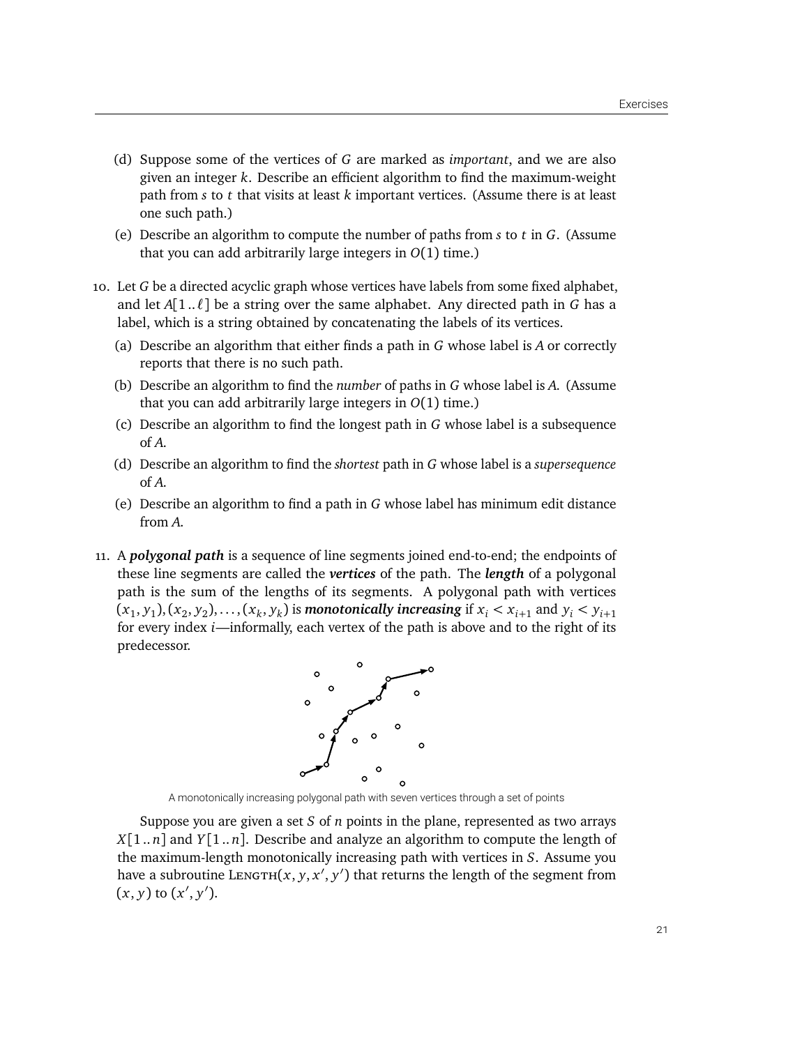- (d) Suppose some of the vertices of *G* are marked as *important*, and we are also given an integer *k*. Describe an efficient algorithm to find the maximum-weight path from *s* to *t* that visits at least *k* important vertices. (Assume there is at least one such path.)
- (e) Describe an algorithm to compute the number of paths from *s* to *t* in *G*. (Assume that you can add arbitrarily large integers in *O*(1) time.)
- 10. Let *G* be a directed acyclic graph whose vertices have labels from some fixed alphabet, and let  $A[1..\ell]$  be a string over the same alphabet. Any directed path in G has a label, which is a string obtained by concatenating the labels of its vertices.
	- (a) Describe an algorithm that either finds a path in *G* whose label is *A* or correctly reports that there is no such path.
	- (b) Describe an algorithm to find the *number* of paths in *G* whose label is *A*. (Assume that you can add arbitrarily large integers in *O*(1) time.)
	- (c) Describe an algorithm to find the longest path in *G* whose label is a subsequence of *A*.
	- (d) Describe an algorithm to find the *shortest* path in *G* whose label is a *supersequence* of *A*.
	- (e) Describe an algorithm to find a path in *G* whose label has minimum edit distance from *A*.
- 11. A *polygonal path* is a sequence of line segments joined end-to-end; the endpoints of these line segments are called the *vertices* of the path. The *length* of a polygonal path is the sum of the lengths of its segments. A polygonal path with vertices  $(x_1, y_1), (x_2, y_2), \ldots, (x_k, y_k)$  is monotonically increasing if  $x_i < x_{i+1}$  and  $y_i < y_{i+1}$ for every index *i*—informally, each vertex of the path is above and to the right of its predecessor.



A monotonically increasing polygonal path with seven vertices through a set of points

Suppose you are given a set *S* of *n* points in the plane, represented as two arrays *X*[1 .. *n*] and *Y* [1 .. *n*]. Describe and analyze an algorithm to compute the length of the maximum-length monotonically increasing path with vertices in *S*. Assume you have a subroutine  $\text{Lengrf}(x, y, x', y')$  that returns the length of the segment from  $(x, y)$  to  $(x', y')$ .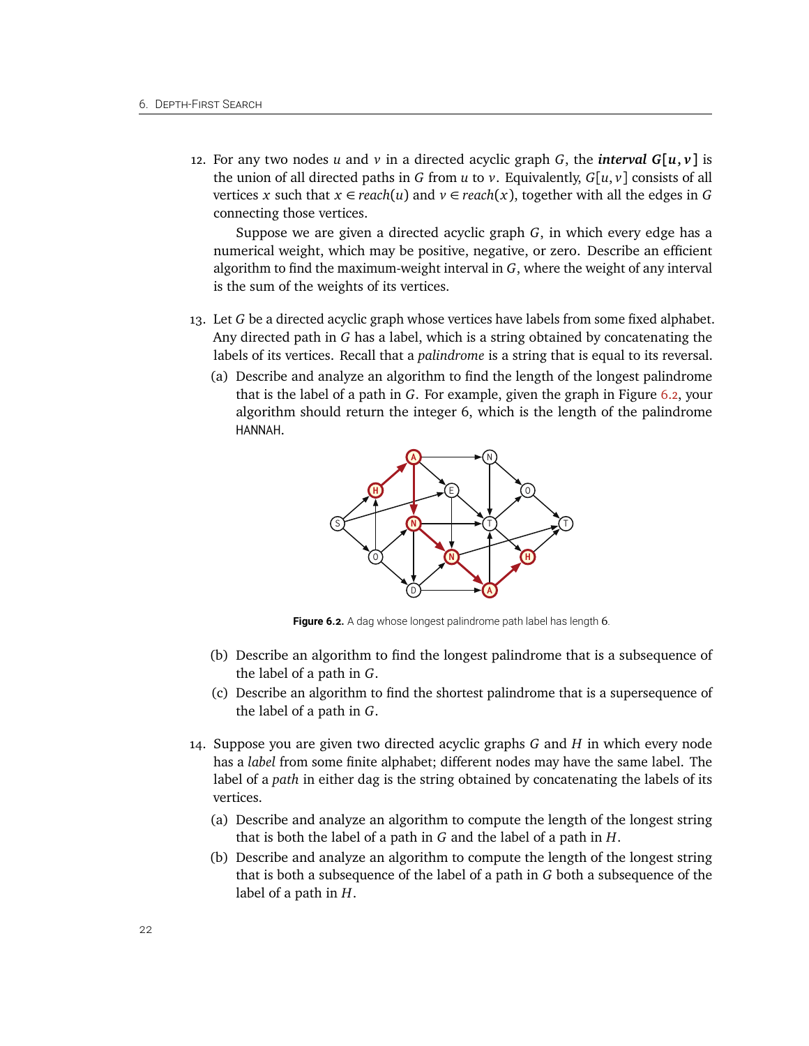12. For any two nodes *u* and *v* in a directed acyclic graph *G*, the *interval*  $G[u, v]$  is the union of all directed paths in *G* from *u* to *v*. Equivalently,  $G[u, v]$  consists of all vertices *x* such that  $x \in reach(u)$  and  $v \in reach(x)$ , together with all the edges in *G* connecting those vertices.

Suppose we are given a directed acyclic graph *G*, in which every edge has a numerical weight, which may be positive, negative, or zero. Describe an efficient algorithm to find the maximum-weight interval in *G*, where the weight of any interval is the sum of the weights of its vertices.

- 13. Let *G* be a directed acyclic graph whose vertices have labels from some fixed alphabet. Any directed path in *G* has a label, which is a string obtained by concatenating the labels of its vertices. Recall that a *palindrome* is a string that is equal to its reversal.
	- (a) Describe and analyze an algorithm to find the length of the longest palindrome that is the label of a path in *G*. For example, given the graph in Figure [6.2,](#page-21-0) your algorithm should return the integer 6, which is the length of the palindrome HANNAH.



<span id="page-21-0"></span>**Figure 6.2.** A dag whose longest palindrome path label has length 6.

- (b) Describe an algorithm to find the longest palindrome that is a subsequence of the label of a path in *G*.
- (c) Describe an algorithm to find the shortest palindrome that is a supersequence of the label of a path in *G*.
- 14. Suppose you are given two directed acyclic graphs *G* and *H* in which every node has a *label* from some finite alphabet; different nodes may have the same label. The label of a *path* in either dag is the string obtained by concatenating the labels of its vertices.
	- (a) Describe and analyze an algorithm to compute the length of the longest string that is both the label of a path in *G* and the label of a path in *H*.
	- (b) Describe and analyze an algorithm to compute the length of the longest string that is both a subsequence of the label of a path in *G* both a subsequence of the label of a path in *H*.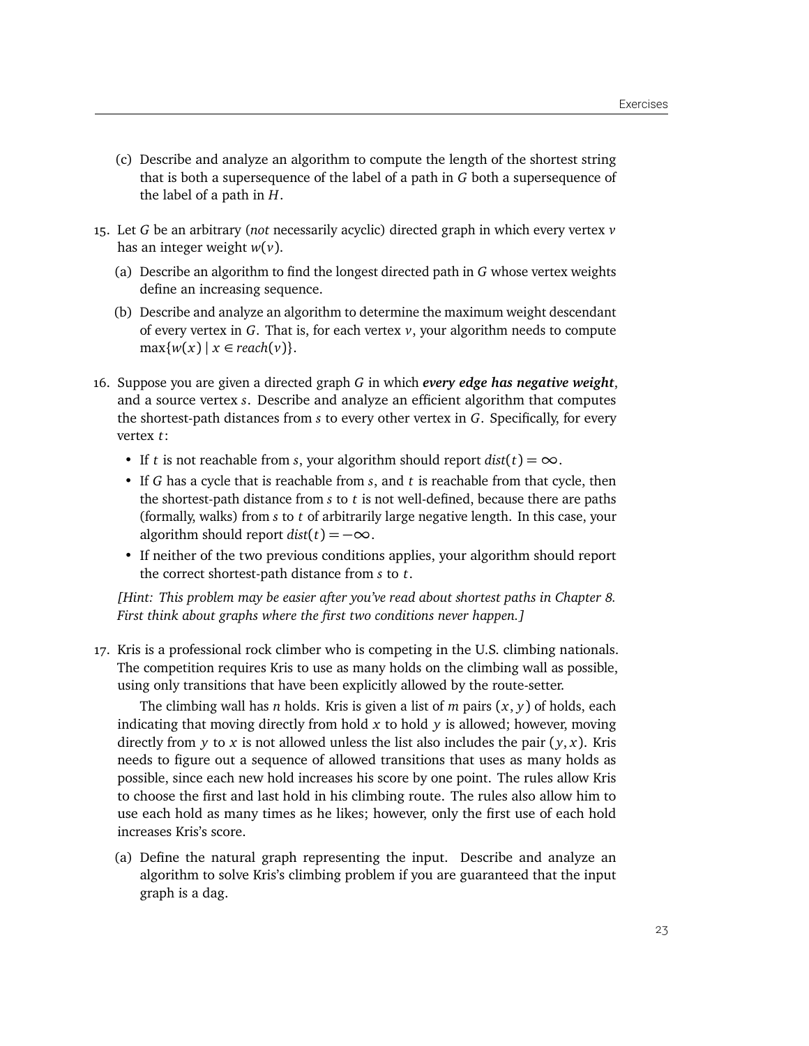- (c) Describe and analyze an algorithm to compute the length of the shortest string that is both a supersequence of the label of a path in *G* both a supersequence of the label of a path in *H*.
- 15. Let *G* be an arbitrary (*not* necessarily acyclic) directed graph in which every vertex *v* has an integer weight *w*(*v*).
	- (a) Describe an algorithm to find the longest directed path in *G* whose vertex weights define an increasing sequence.
	- (b) Describe and analyze an algorithm to determine the maximum weight descendant of every vertex in *G*. That is, for each vertex *v*, your algorithm needs to compute  $\max\{w(x) \mid x \in reach(v)\}.$
- 16. Suppose you are given a directed graph *G* in which *every edge has negative weight*, and a source vertex *s*. Describe and analyze an efficient algorithm that computes the shortest-path distances from *s* to every other vertex in *G*. Specifically, for every vertex *t*:
	- If *t* is not reachable from *s*, your algorithm should report  $dist(t) = \infty$ .
	- If *G* has a cycle that is reachable from *s*, and *t* is reachable from that cycle, then the shortest-path distance from *s* to *t* is not well-defined, because there are paths (formally, walks) from *s* to *t* of arbitrarily large negative length. In this case, your algorithm should report  $dist(t) = -\infty$ .
	- If neither of the two previous conditions applies, your algorithm should report the correct shortest-path distance from *s* to *t*.

*[Hint: This problem may be easier after you've read about shortest paths in Chapter 8. First think about graphs where the first two conditions never happen.]*

17. Kris is a professional rock climber who is competing in the U.S. climbing nationals. The competition requires Kris to use as many holds on the climbing wall as possible, using only transitions that have been explicitly allowed by the route-setter.

The climbing wall has *n* holds. Kris is given a list of *m* pairs (*x*, *y*) of holds, each indicating that moving directly from hold *x* to hold *y* is allowed; however, moving directly from *y* to *x* is not allowed unless the list also includes the pair  $(y, x)$ . Kris needs to figure out a sequence of allowed transitions that uses as many holds as possible, since each new hold increases his score by one point. The rules allow Kris to choose the first and last hold in his climbing route. The rules also allow him to use each hold as many times as he likes; however, only the first use of each hold increases Kris's score.

(a) Define the natural graph representing the input. Describe and analyze an algorithm to solve Kris's climbing problem if you are guaranteed that the input graph is a dag.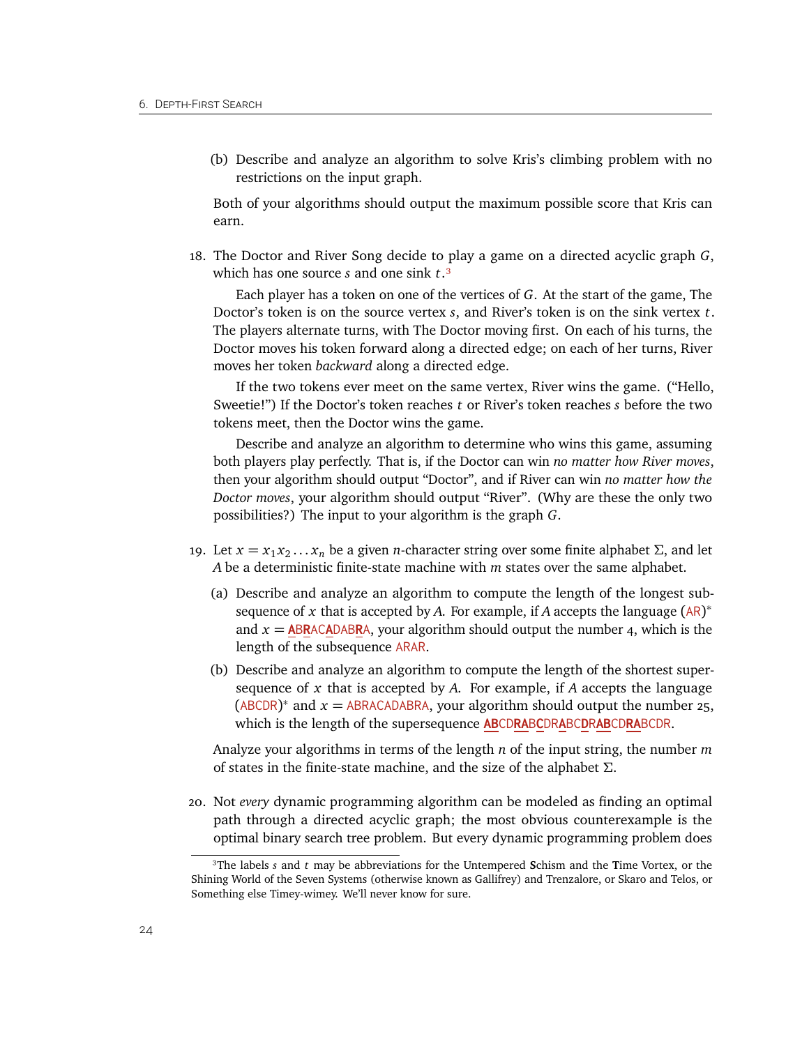(b) Describe and analyze an algorithm to solve Kris's climbing problem with no restrictions on the input graph.

Both of your algorithms should output the maximum possible score that Kris can earn.

18. The Doctor and River Song decide to play a game on a directed acyclic graph *G*, which has one source *s* and one sink *t*[.³](#page-23-0)

Each player has a token on one of the vertices of *G*. At the start of the game, The Doctor's token is on the source vertex *s*, and River's token is on the sink vertex *t*. The players alternate turns, with The Doctor moving first. On each of his turns, the Doctor moves his token forward along a directed edge; on each of her turns, River moves her token *backward* along a directed edge.

If the two tokens ever meet on the same vertex, River wins the game. ("Hello, Sweetie!") If the Doctor's token reaches *t* or River's token reaches *s* before the two tokens meet, then the Doctor wins the game.

Describe and analyze an algorithm to determine who wins this game, assuming both players play perfectly. That is, if the Doctor can win *no matter how River moves*, then your algorithm should output "Doctor", and if River can win *no matter how the Doctor moves*, your algorithm should output "River". (Why are these the only two possibilities?) The input to your algorithm is the graph *G*.

- 19. Let  $x = x_1 x_2 ... x_n$  be a given *n*-character string over some finite alphabet  $\Sigma$ , and let *A* be a deterministic finite-state machine with *m* states over the same alphabet.
	- (a) Describe and analyze an algorithm to compute the length of the longest subsequence of *x* that is accepted by *A*. For example, if *A* accepts the language  $(AR)^*$ and  $x = ABRACADABRA$ , your algorithm should output the number 4, which is the length of the subsequence ARAR.
	- (b) Describe and analyze an algorithm to compute the length of the shortest supersequence of *x* that is accepted by *A*. For example, if *A* accepts the language  $($ ABCDR $)$ <sup>\*</sup> and *x* = ABRACADABRA, your algorithm should output the number 25, which is the length of the supersequence **AB**CD**RA**B**C**DR**A**BC**D**R**AB**CD**RA**BCDR.

Analyze your algorithms in terms of the length *n* of the input string, the number *m* of states in the finite-state machine, and the size of the alphabet *Σ*.

20. Not *every* dynamic programming algorithm can be modeled as finding an optimal path through a directed acyclic graph; the most obvious counterexample is the optimal binary search tree problem. But every dynamic programming problem does

<span id="page-23-0"></span><sup>3</sup>The labels *s* and *t* may be abbreviations for the Untempered **S**chism and the **T**ime Vortex, or the Shining World of the Seven Systems (otherwise known as Gallifrey) and Trenzalore, or Skaro and Telos, or Something else Timey-wimey. We'll never know for sure.